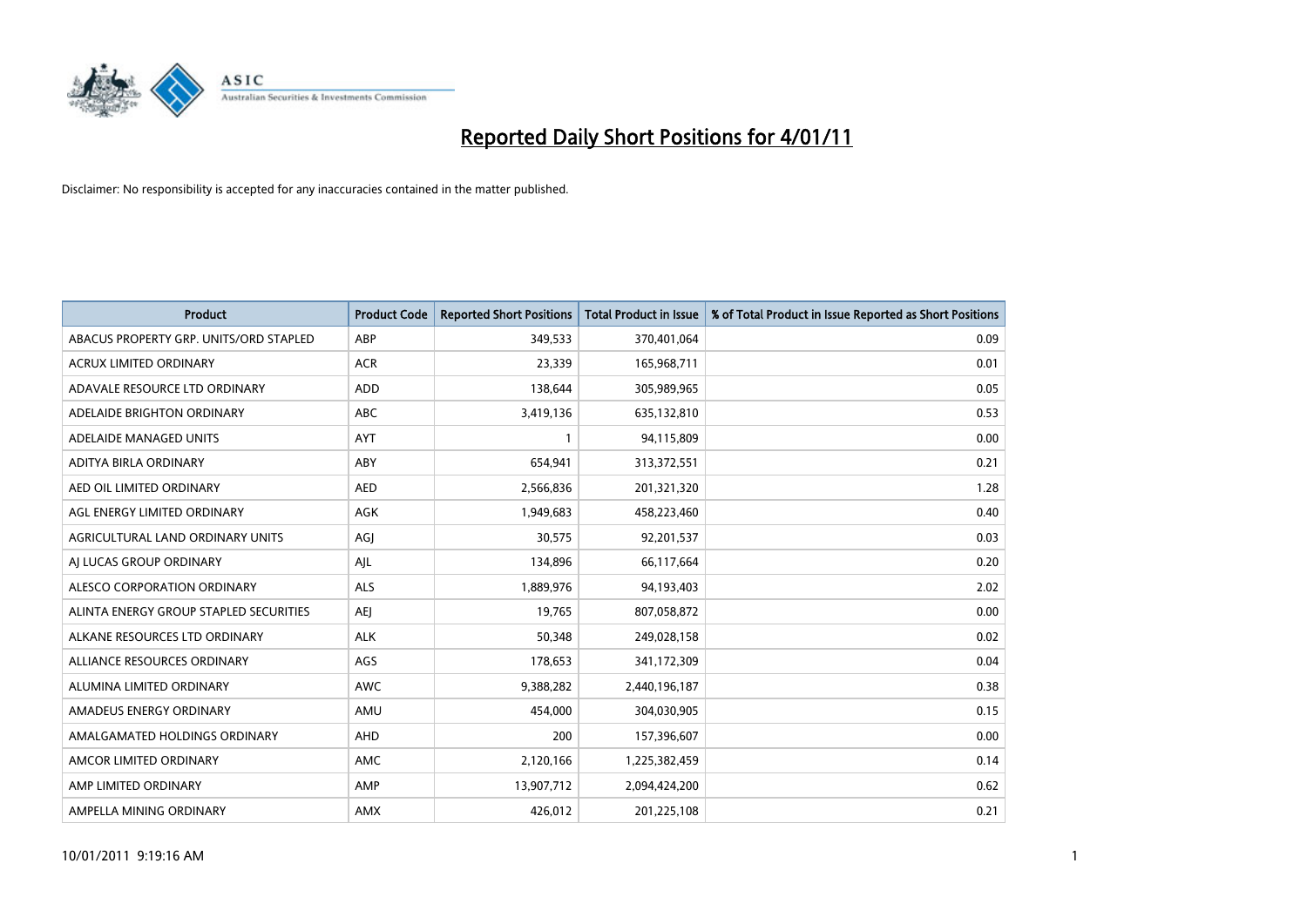

| Product                                | <b>Product Code</b> | <b>Reported Short Positions</b> | <b>Total Product in Issue</b> | % of Total Product in Issue Reported as Short Positions |
|----------------------------------------|---------------------|---------------------------------|-------------------------------|---------------------------------------------------------|
| ABACUS PROPERTY GRP. UNITS/ORD STAPLED | ABP                 | 349,533                         | 370,401,064                   | 0.09                                                    |
| ACRUX LIMITED ORDINARY                 | <b>ACR</b>          | 23,339                          | 165,968,711                   | 0.01                                                    |
| ADAVALE RESOURCE LTD ORDINARY          | <b>ADD</b>          | 138,644                         | 305,989,965                   | 0.05                                                    |
| ADELAIDE BRIGHTON ORDINARY             | <b>ABC</b>          | 3,419,136                       | 635,132,810                   | 0.53                                                    |
| ADELAIDE MANAGED UNITS                 | <b>AYT</b>          | 1                               | 94,115,809                    | 0.00                                                    |
| ADITYA BIRLA ORDINARY                  | ABY                 | 654,941                         | 313,372,551                   | 0.21                                                    |
| AED OIL LIMITED ORDINARY               | <b>AED</b>          | 2,566,836                       | 201,321,320                   | 1.28                                                    |
| AGL ENERGY LIMITED ORDINARY            | AGK                 | 1,949,683                       | 458,223,460                   | 0.40                                                    |
| AGRICULTURAL LAND ORDINARY UNITS       | AGJ                 | 30,575                          | 92,201,537                    | 0.03                                                    |
| AI LUCAS GROUP ORDINARY                | AJL                 | 134,896                         | 66,117,664                    | 0.20                                                    |
| ALESCO CORPORATION ORDINARY            | ALS                 | 1,889,976                       | 94,193,403                    | 2.02                                                    |
| ALINTA ENERGY GROUP STAPLED SECURITIES | AEJ                 | 19,765                          | 807,058,872                   | 0.00                                                    |
| ALKANE RESOURCES LTD ORDINARY          | <b>ALK</b>          | 50,348                          | 249,028,158                   | 0.02                                                    |
| ALLIANCE RESOURCES ORDINARY            | AGS                 | 178,653                         | 341,172,309                   | 0.04                                                    |
| ALUMINA LIMITED ORDINARY               | <b>AWC</b>          | 9,388,282                       | 2,440,196,187                 | 0.38                                                    |
| AMADEUS ENERGY ORDINARY                | AMU                 | 454,000                         | 304,030,905                   | 0.15                                                    |
| AMALGAMATED HOLDINGS ORDINARY          | AHD                 | 200                             | 157,396,607                   | 0.00                                                    |
| AMCOR LIMITED ORDINARY                 | <b>AMC</b>          | 2,120,166                       | 1,225,382,459                 | 0.14                                                    |
| AMP LIMITED ORDINARY                   | AMP                 | 13,907,712                      | 2,094,424,200                 | 0.62                                                    |
| AMPELLA MINING ORDINARY                | AMX                 | 426,012                         | 201,225,108                   | 0.21                                                    |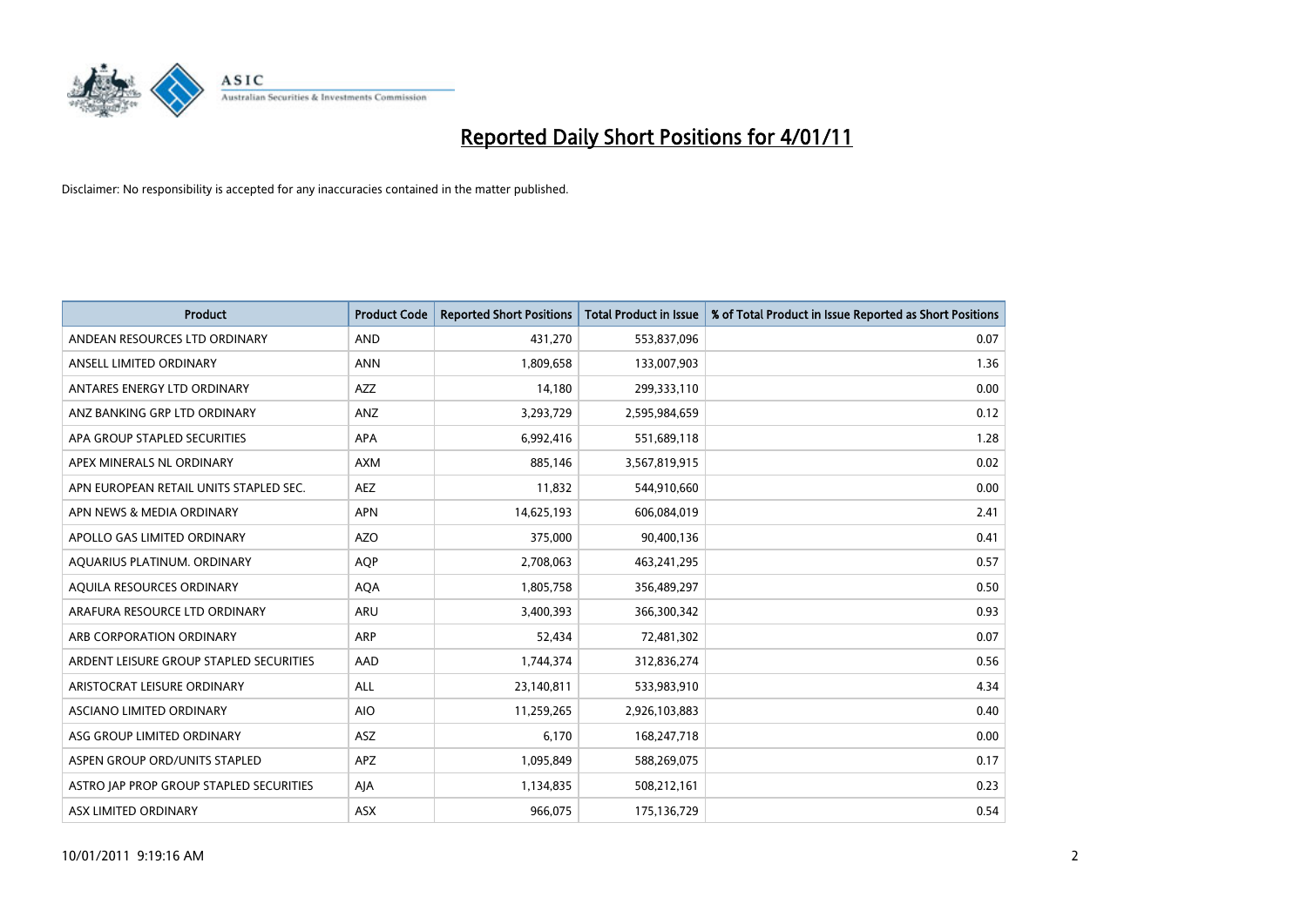

| <b>Product</b>                          | <b>Product Code</b> | <b>Reported Short Positions</b> | <b>Total Product in Issue</b> | % of Total Product in Issue Reported as Short Positions |
|-----------------------------------------|---------------------|---------------------------------|-------------------------------|---------------------------------------------------------|
| ANDEAN RESOURCES LTD ORDINARY           | <b>AND</b>          | 431,270                         | 553,837,096                   | 0.07                                                    |
| ANSELL LIMITED ORDINARY                 | <b>ANN</b>          | 1,809,658                       | 133,007,903                   | 1.36                                                    |
| ANTARES ENERGY LTD ORDINARY             | <b>AZZ</b>          | 14,180                          | 299,333,110                   | 0.00                                                    |
| ANZ BANKING GRP LTD ORDINARY            | ANZ                 | 3,293,729                       | 2,595,984,659                 | 0.12                                                    |
| APA GROUP STAPLED SECURITIES            | <b>APA</b>          | 6,992,416                       | 551,689,118                   | 1.28                                                    |
| APEX MINERALS NL ORDINARY               | <b>AXM</b>          | 885,146                         | 3,567,819,915                 | 0.02                                                    |
| APN EUROPEAN RETAIL UNITS STAPLED SEC.  | <b>AEZ</b>          | 11,832                          | 544,910,660                   | 0.00                                                    |
| APN NEWS & MEDIA ORDINARY               | <b>APN</b>          | 14,625,193                      | 606,084,019                   | 2.41                                                    |
| APOLLO GAS LIMITED ORDINARY             | <b>AZO</b>          | 375,000                         | 90,400,136                    | 0.41                                                    |
| AQUARIUS PLATINUM. ORDINARY             | <b>AOP</b>          | 2,708,063                       | 463,241,295                   | 0.57                                                    |
| AQUILA RESOURCES ORDINARY               | <b>AQA</b>          | 1,805,758                       | 356,489,297                   | 0.50                                                    |
| ARAFURA RESOURCE LTD ORDINARY           | <b>ARU</b>          | 3,400,393                       | 366,300,342                   | 0.93                                                    |
| ARB CORPORATION ORDINARY                | <b>ARP</b>          | 52,434                          | 72,481,302                    | 0.07                                                    |
| ARDENT LEISURE GROUP STAPLED SECURITIES | AAD                 | 1,744,374                       | 312,836,274                   | 0.56                                                    |
| ARISTOCRAT LEISURE ORDINARY             | <b>ALL</b>          | 23,140,811                      | 533,983,910                   | 4.34                                                    |
| ASCIANO LIMITED ORDINARY                | <b>AIO</b>          | 11,259,265                      | 2,926,103,883                 | 0.40                                                    |
| ASG GROUP LIMITED ORDINARY              | <b>ASZ</b>          | 6,170                           | 168,247,718                   | 0.00                                                    |
| ASPEN GROUP ORD/UNITS STAPLED           | APZ                 | 1,095,849                       | 588,269,075                   | 0.17                                                    |
| ASTRO JAP PROP GROUP STAPLED SECURITIES | AJA                 | 1,134,835                       | 508,212,161                   | 0.23                                                    |
| ASX LIMITED ORDINARY                    | ASX                 | 966,075                         | 175,136,729                   | 0.54                                                    |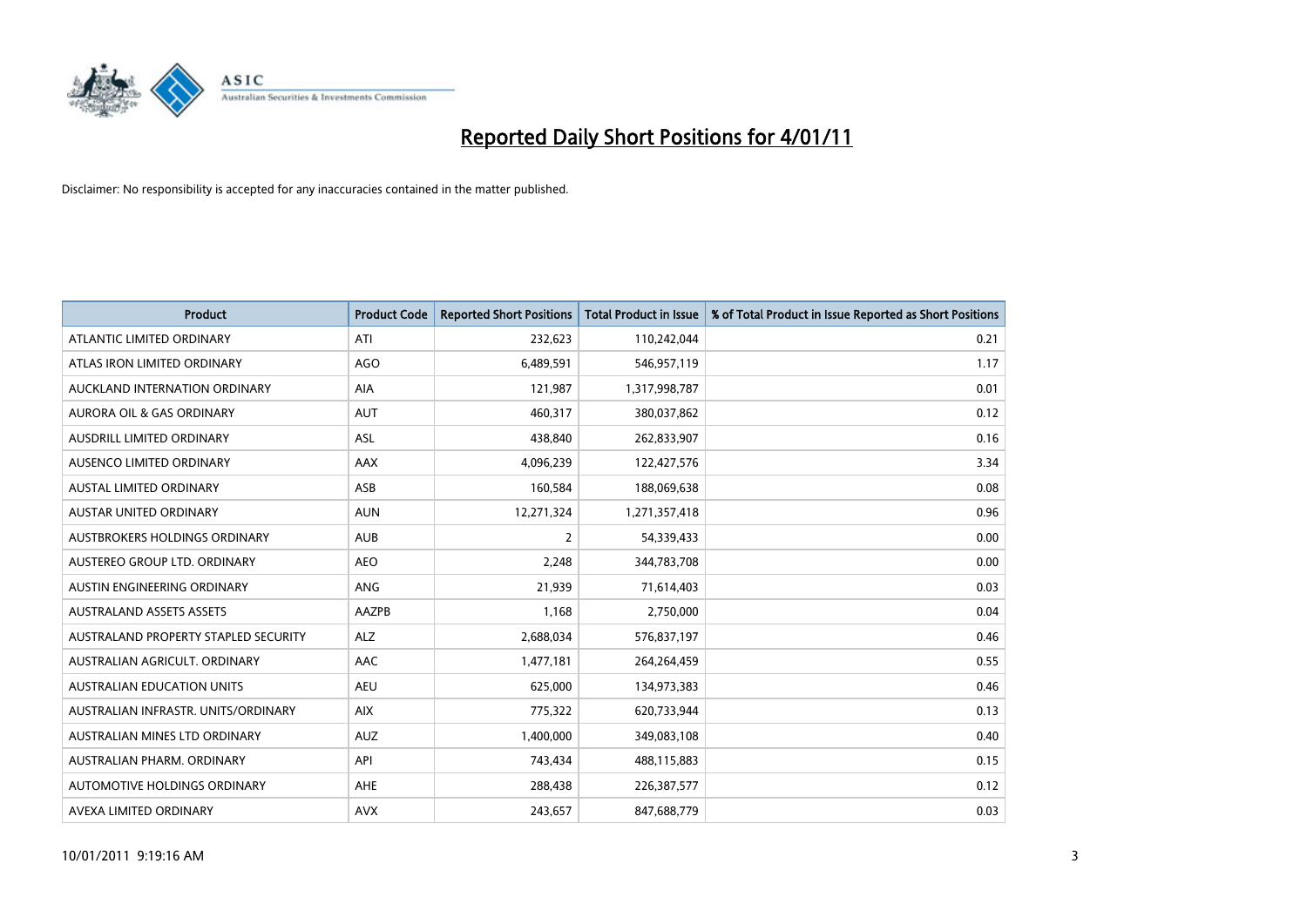

| <b>Product</b>                       | <b>Product Code</b> | <b>Reported Short Positions</b> | <b>Total Product in Issue</b> | % of Total Product in Issue Reported as Short Positions |
|--------------------------------------|---------------------|---------------------------------|-------------------------------|---------------------------------------------------------|
| ATLANTIC LIMITED ORDINARY            | ATI                 | 232,623                         | 110,242,044                   | 0.21                                                    |
| ATLAS IRON LIMITED ORDINARY          | <b>AGO</b>          | 6,489,591                       | 546,957,119                   | 1.17                                                    |
| AUCKLAND INTERNATION ORDINARY        | <b>AIA</b>          | 121,987                         | 1,317,998,787                 | 0.01                                                    |
| AURORA OIL & GAS ORDINARY            | <b>AUT</b>          | 460,317                         | 380,037,862                   | 0.12                                                    |
| <b>AUSDRILL LIMITED ORDINARY</b>     | ASL                 | 438,840                         | 262,833,907                   | 0.16                                                    |
| <b>AUSENCO LIMITED ORDINARY</b>      | AAX                 | 4,096,239                       | 122,427,576                   | 3.34                                                    |
| <b>AUSTAL LIMITED ORDINARY</b>       | ASB                 | 160,584                         | 188,069,638                   | 0.08                                                    |
| AUSTAR UNITED ORDINARY               | <b>AUN</b>          | 12,271,324                      | 1,271,357,418                 | 0.96                                                    |
| AUSTBROKERS HOLDINGS ORDINARY        | <b>AUB</b>          | 2                               | 54,339,433                    | 0.00                                                    |
| AUSTEREO GROUP LTD. ORDINARY         | <b>AEO</b>          | 2,248                           | 344,783,708                   | 0.00                                                    |
| AUSTIN ENGINEERING ORDINARY          | <b>ANG</b>          | 21,939                          | 71,614,403                    | 0.03                                                    |
| <b>AUSTRALAND ASSETS ASSETS</b>      | AAZPB               | 1,168                           | 2,750,000                     | 0.04                                                    |
| AUSTRALAND PROPERTY STAPLED SECURITY | <b>ALZ</b>          | 2,688,034                       | 576,837,197                   | 0.46                                                    |
| AUSTRALIAN AGRICULT, ORDINARY        | AAC                 | 1,477,181                       | 264,264,459                   | 0.55                                                    |
| <b>AUSTRALIAN EDUCATION UNITS</b>    | <b>AEU</b>          | 625,000                         | 134,973,383                   | 0.46                                                    |
| AUSTRALIAN INFRASTR, UNITS/ORDINARY  | <b>AIX</b>          | 775,322                         | 620,733,944                   | 0.13                                                    |
| AUSTRALIAN MINES LTD ORDINARY        | <b>AUZ</b>          | 1,400,000                       | 349,083,108                   | 0.40                                                    |
| AUSTRALIAN PHARM, ORDINARY           | API                 | 743,434                         | 488,115,883                   | 0.15                                                    |
| AUTOMOTIVE HOLDINGS ORDINARY         | <b>AHE</b>          | 288,438                         | 226,387,577                   | 0.12                                                    |
| AVEXA LIMITED ORDINARY               | <b>AVX</b>          | 243,657                         | 847,688,779                   | 0.03                                                    |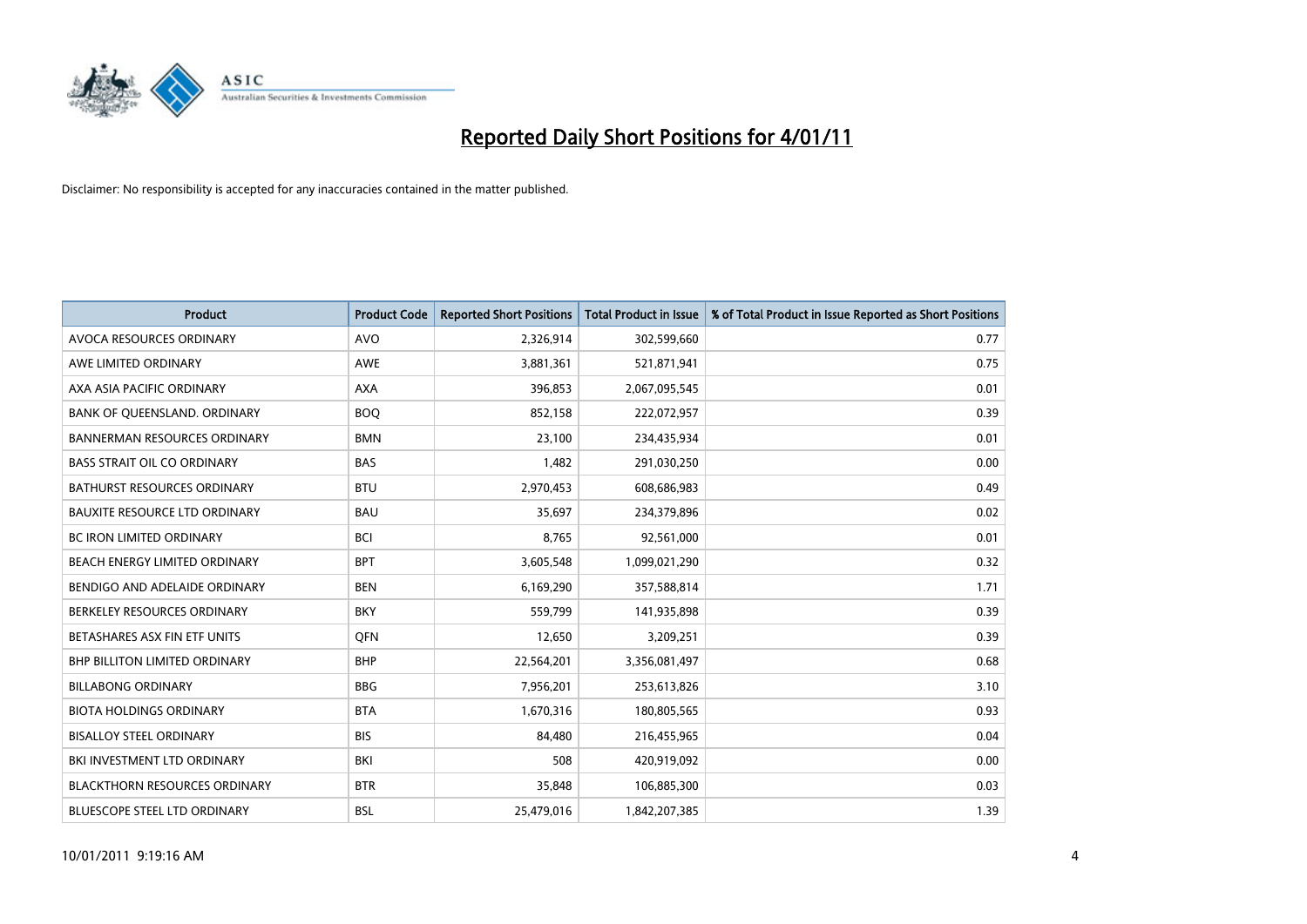

| <b>Product</b>                       | <b>Product Code</b> | <b>Reported Short Positions</b> | <b>Total Product in Issue</b> | % of Total Product in Issue Reported as Short Positions |
|--------------------------------------|---------------------|---------------------------------|-------------------------------|---------------------------------------------------------|
| AVOCA RESOURCES ORDINARY             | <b>AVO</b>          | 2,326,914                       | 302,599,660                   | 0.77                                                    |
| AWE LIMITED ORDINARY                 | <b>AWE</b>          | 3,881,361                       | 521,871,941                   | 0.75                                                    |
| AXA ASIA PACIFIC ORDINARY            | <b>AXA</b>          | 396,853                         | 2,067,095,545                 | 0.01                                                    |
| BANK OF QUEENSLAND. ORDINARY         | <b>BOO</b>          | 852,158                         | 222,072,957                   | 0.39                                                    |
| <b>BANNERMAN RESOURCES ORDINARY</b>  | <b>BMN</b>          | 23.100                          | 234,435,934                   | 0.01                                                    |
| <b>BASS STRAIT OIL CO ORDINARY</b>   | <b>BAS</b>          | 1,482                           | 291,030,250                   | 0.00                                                    |
| <b>BATHURST RESOURCES ORDINARY</b>   | <b>BTU</b>          | 2,970,453                       | 608,686,983                   | 0.49                                                    |
| <b>BAUXITE RESOURCE LTD ORDINARY</b> | <b>BAU</b>          | 35,697                          | 234,379,896                   | 0.02                                                    |
| <b>BC IRON LIMITED ORDINARY</b>      | <b>BCI</b>          | 8,765                           | 92,561,000                    | 0.01                                                    |
| BEACH ENERGY LIMITED ORDINARY        | <b>BPT</b>          | 3,605,548                       | 1,099,021,290                 | 0.32                                                    |
| BENDIGO AND ADELAIDE ORDINARY        | <b>BEN</b>          | 6,169,290                       | 357,588,814                   | 1.71                                                    |
| BERKELEY RESOURCES ORDINARY          | <b>BKY</b>          | 559,799                         | 141,935,898                   | 0.39                                                    |
| BETASHARES ASX FIN ETF UNITS         | <b>OFN</b>          | 12,650                          | 3,209,251                     | 0.39                                                    |
| <b>BHP BILLITON LIMITED ORDINARY</b> | <b>BHP</b>          | 22,564,201                      | 3,356,081,497                 | 0.68                                                    |
| <b>BILLABONG ORDINARY</b>            | <b>BBG</b>          | 7,956,201                       | 253,613,826                   | 3.10                                                    |
| <b>BIOTA HOLDINGS ORDINARY</b>       | <b>BTA</b>          | 1,670,316                       | 180,805,565                   | 0.93                                                    |
| <b>BISALLOY STEEL ORDINARY</b>       | <b>BIS</b>          | 84,480                          | 216,455,965                   | 0.04                                                    |
| BKI INVESTMENT LTD ORDINARY          | BKI                 | 508                             | 420,919,092                   | 0.00                                                    |
| <b>BLACKTHORN RESOURCES ORDINARY</b> | <b>BTR</b>          | 35,848                          | 106,885,300                   | 0.03                                                    |
| <b>BLUESCOPE STEEL LTD ORDINARY</b>  | <b>BSL</b>          | 25,479,016                      | 1,842,207,385                 | 1.39                                                    |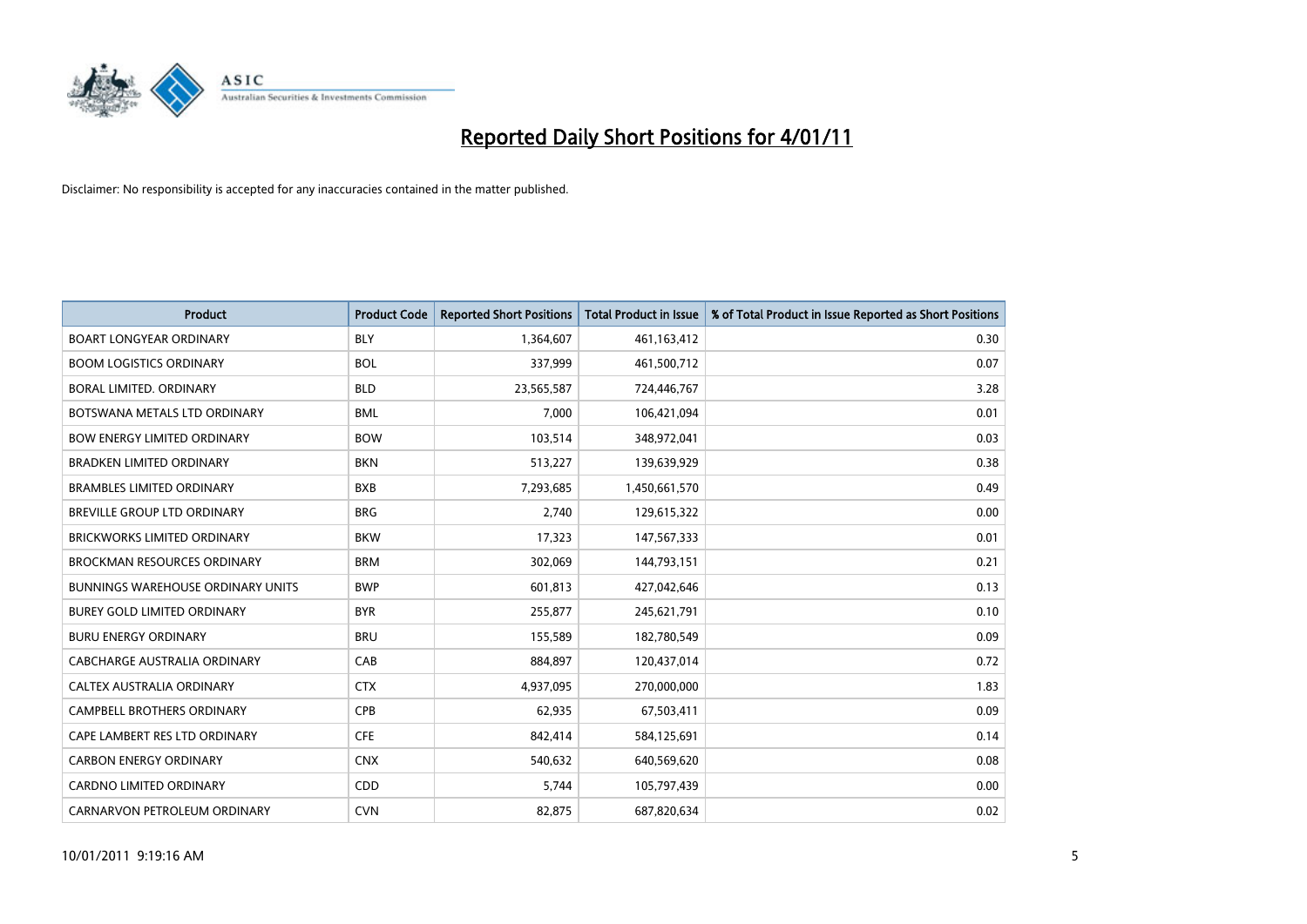

| Product                                  | <b>Product Code</b> | <b>Reported Short Positions</b> | <b>Total Product in Issue</b> | % of Total Product in Issue Reported as Short Positions |
|------------------------------------------|---------------------|---------------------------------|-------------------------------|---------------------------------------------------------|
| <b>BOART LONGYEAR ORDINARY</b>           | <b>BLY</b>          | 1,364,607                       | 461,163,412                   | 0.30                                                    |
| <b>BOOM LOGISTICS ORDINARY</b>           | <b>BOL</b>          | 337,999                         | 461,500,712                   | 0.07                                                    |
| <b>BORAL LIMITED, ORDINARY</b>           | <b>BLD</b>          | 23,565,587                      | 724,446,767                   | 3.28                                                    |
| BOTSWANA METALS LTD ORDINARY             | <b>BML</b>          | 7,000                           | 106,421,094                   | 0.01                                                    |
| <b>BOW ENERGY LIMITED ORDINARY</b>       | <b>BOW</b>          | 103,514                         | 348,972,041                   | 0.03                                                    |
| <b>BRADKEN LIMITED ORDINARY</b>          | <b>BKN</b>          | 513,227                         | 139,639,929                   | 0.38                                                    |
| <b>BRAMBLES LIMITED ORDINARY</b>         | <b>BXB</b>          | 7,293,685                       | 1,450,661,570                 | 0.49                                                    |
| BREVILLE GROUP LTD ORDINARY              | <b>BRG</b>          | 2,740                           | 129,615,322                   | 0.00                                                    |
| BRICKWORKS LIMITED ORDINARY              | <b>BKW</b>          | 17,323                          | 147,567,333                   | 0.01                                                    |
| <b>BROCKMAN RESOURCES ORDINARY</b>       | <b>BRM</b>          | 302,069                         | 144,793,151                   | 0.21                                                    |
| <b>BUNNINGS WAREHOUSE ORDINARY UNITS</b> | <b>BWP</b>          | 601,813                         | 427,042,646                   | 0.13                                                    |
| <b>BUREY GOLD LIMITED ORDINARY</b>       | <b>BYR</b>          | 255,877                         | 245,621,791                   | 0.10                                                    |
| <b>BURU ENERGY ORDINARY</b>              | <b>BRU</b>          | 155,589                         | 182,780,549                   | 0.09                                                    |
| <b>CABCHARGE AUSTRALIA ORDINARY</b>      | CAB                 | 884,897                         | 120,437,014                   | 0.72                                                    |
| CALTEX AUSTRALIA ORDINARY                | <b>CTX</b>          | 4,937,095                       | 270,000,000                   | 1.83                                                    |
| <b>CAMPBELL BROTHERS ORDINARY</b>        | <b>CPB</b>          | 62,935                          | 67,503,411                    | 0.09                                                    |
| CAPE LAMBERT RES LTD ORDINARY            | <b>CFE</b>          | 842,414                         | 584,125,691                   | 0.14                                                    |
| <b>CARBON ENERGY ORDINARY</b>            | <b>CNX</b>          | 540,632                         | 640,569,620                   | 0.08                                                    |
| <b>CARDNO LIMITED ORDINARY</b>           | CDD                 | 5,744                           | 105,797,439                   | 0.00                                                    |
| CARNARVON PETROLEUM ORDINARY             | <b>CVN</b>          | 82,875                          | 687,820,634                   | 0.02                                                    |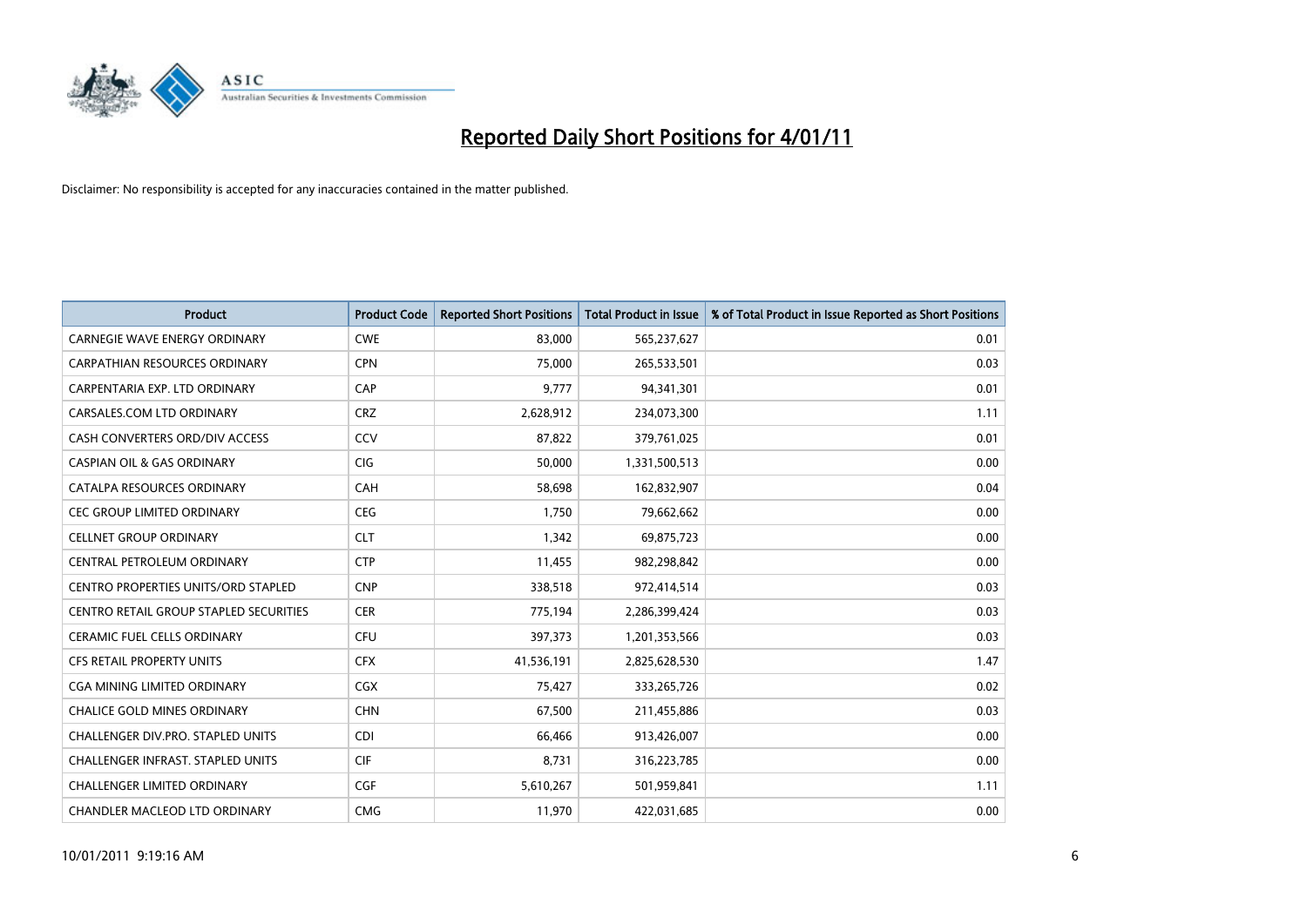

| Product                                    | <b>Product Code</b> | <b>Reported Short Positions</b> | <b>Total Product in Issue</b> | % of Total Product in Issue Reported as Short Positions |
|--------------------------------------------|---------------------|---------------------------------|-------------------------------|---------------------------------------------------------|
| <b>CARNEGIE WAVE ENERGY ORDINARY</b>       | <b>CWE</b>          | 83,000                          | 565,237,627                   | 0.01                                                    |
| <b>CARPATHIAN RESOURCES ORDINARY</b>       | <b>CPN</b>          | 75,000                          | 265,533,501                   | 0.03                                                    |
| CARPENTARIA EXP. LTD ORDINARY              | CAP                 | 9,777                           | 94,341,301                    | 0.01                                                    |
| CARSALES.COM LTD ORDINARY                  | <b>CRZ</b>          | 2,628,912                       | 234,073,300                   | 1.11                                                    |
| CASH CONVERTERS ORD/DIV ACCESS             | CCV                 | 87.822                          | 379,761,025                   | 0.01                                                    |
| <b>CASPIAN OIL &amp; GAS ORDINARY</b>      | <b>CIG</b>          | 50,000                          | 1,331,500,513                 | 0.00                                                    |
| CATALPA RESOURCES ORDINARY                 | CAH                 | 58,698                          | 162,832,907                   | 0.04                                                    |
| <b>CEC GROUP LIMITED ORDINARY</b>          | <b>CEG</b>          | 1,750                           | 79,662,662                    | 0.00                                                    |
| <b>CELLNET GROUP ORDINARY</b>              | <b>CLT</b>          | 1,342                           | 69,875,723                    | 0.00                                                    |
| CENTRAL PETROLEUM ORDINARY                 | <b>CTP</b>          | 11,455                          | 982,298,842                   | 0.00                                                    |
| <b>CENTRO PROPERTIES UNITS/ORD STAPLED</b> | <b>CNP</b>          | 338,518                         | 972,414,514                   | 0.03                                                    |
| CENTRO RETAIL GROUP STAPLED SECURITIES     | <b>CER</b>          | 775,194                         | 2,286,399,424                 | 0.03                                                    |
| <b>CERAMIC FUEL CELLS ORDINARY</b>         | <b>CFU</b>          | 397,373                         | 1,201,353,566                 | 0.03                                                    |
| <b>CFS RETAIL PROPERTY UNITS</b>           | <b>CFX</b>          | 41,536,191                      | 2,825,628,530                 | 1.47                                                    |
| <b>CGA MINING LIMITED ORDINARY</b>         | CGX                 | 75,427                          | 333,265,726                   | 0.02                                                    |
| <b>CHALICE GOLD MINES ORDINARY</b>         | <b>CHN</b>          | 67,500                          | 211,455,886                   | 0.03                                                    |
| CHALLENGER DIV.PRO. STAPLED UNITS          | <b>CDI</b>          | 66,466                          | 913,426,007                   | 0.00                                                    |
| CHALLENGER INFRAST. STAPLED UNITS          | <b>CIF</b>          | 8,731                           | 316,223,785                   | 0.00                                                    |
| <b>CHALLENGER LIMITED ORDINARY</b>         | <b>CGF</b>          | 5,610,267                       | 501,959,841                   | 1.11                                                    |
| CHANDLER MACLEOD LTD ORDINARY              | <b>CMG</b>          | 11,970                          | 422,031,685                   | 0.00                                                    |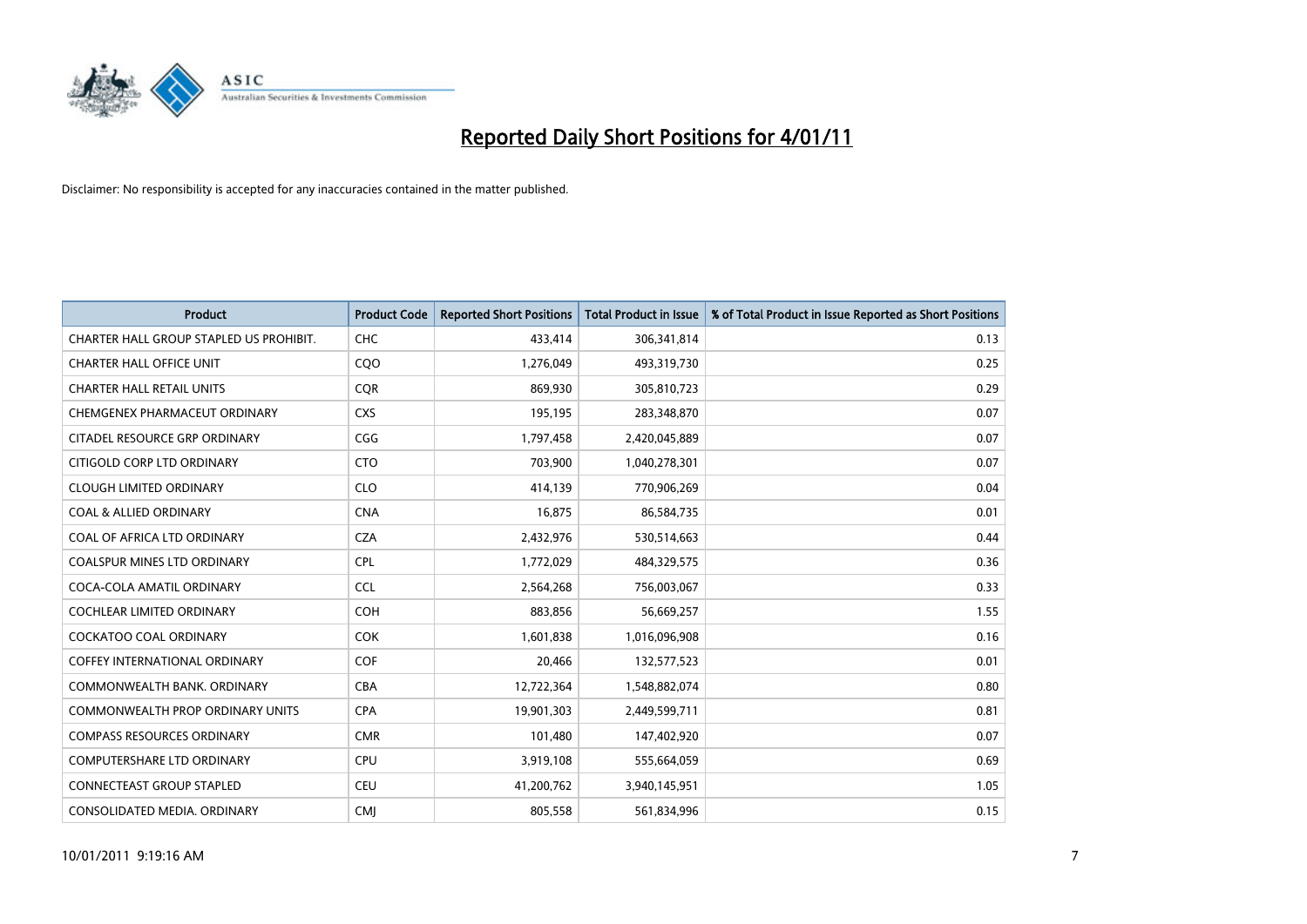

| <b>Product</b>                          | <b>Product Code</b> | <b>Reported Short Positions</b> | <b>Total Product in Issue</b> | % of Total Product in Issue Reported as Short Positions |
|-----------------------------------------|---------------------|---------------------------------|-------------------------------|---------------------------------------------------------|
| CHARTER HALL GROUP STAPLED US PROHIBIT. | <b>CHC</b>          | 433,414                         | 306,341,814                   | 0.13                                                    |
| <b>CHARTER HALL OFFICE UNIT</b>         | C <sub>O</sub> O    | 1,276,049                       | 493,319,730                   | 0.25                                                    |
| <b>CHARTER HALL RETAIL UNITS</b>        | <b>CQR</b>          | 869,930                         | 305,810,723                   | 0.29                                                    |
| CHEMGENEX PHARMACEUT ORDINARY           | <b>CXS</b>          | 195,195                         | 283,348,870                   | 0.07                                                    |
| CITADEL RESOURCE GRP ORDINARY           | CGG                 | 1,797,458                       | 2,420,045,889                 | 0.07                                                    |
| CITIGOLD CORP LTD ORDINARY              | <b>CTO</b>          | 703,900                         | 1,040,278,301                 | 0.07                                                    |
| <b>CLOUGH LIMITED ORDINARY</b>          | <b>CLO</b>          | 414,139                         | 770,906,269                   | 0.04                                                    |
| <b>COAL &amp; ALLIED ORDINARY</b>       | <b>CNA</b>          | 16,875                          | 86,584,735                    | 0.01                                                    |
| COAL OF AFRICA LTD ORDINARY             | <b>CZA</b>          | 2,432,976                       | 530,514,663                   | 0.44                                                    |
| <b>COALSPUR MINES LTD ORDINARY</b>      | <b>CPL</b>          | 1,772,029                       | 484,329,575                   | 0.36                                                    |
| COCA-COLA AMATIL ORDINARY               | <b>CCL</b>          | 2,564,268                       | 756,003,067                   | 0.33                                                    |
| <b>COCHLEAR LIMITED ORDINARY</b>        | <b>COH</b>          | 883,856                         | 56,669,257                    | 1.55                                                    |
| <b>COCKATOO COAL ORDINARY</b>           | <b>COK</b>          | 1,601,838                       | 1,016,096,908                 | 0.16                                                    |
| <b>COFFEY INTERNATIONAL ORDINARY</b>    | <b>COF</b>          | 20,466                          | 132,577,523                   | 0.01                                                    |
| COMMONWEALTH BANK, ORDINARY             | <b>CBA</b>          | 12,722,364                      | 1,548,882,074                 | 0.80                                                    |
| <b>COMMONWEALTH PROP ORDINARY UNITS</b> | <b>CPA</b>          | 19,901,303                      | 2,449,599,711                 | 0.81                                                    |
| <b>COMPASS RESOURCES ORDINARY</b>       | <b>CMR</b>          | 101,480                         | 147,402,920                   | 0.07                                                    |
| COMPUTERSHARE LTD ORDINARY              | <b>CPU</b>          | 3,919,108                       | 555,664,059                   | 0.69                                                    |
| <b>CONNECTEAST GROUP STAPLED</b>        | <b>CEU</b>          | 41,200,762                      | 3,940,145,951                 | 1.05                                                    |
| CONSOLIDATED MEDIA, ORDINARY            | <b>CMI</b>          | 805,558                         | 561,834,996                   | 0.15                                                    |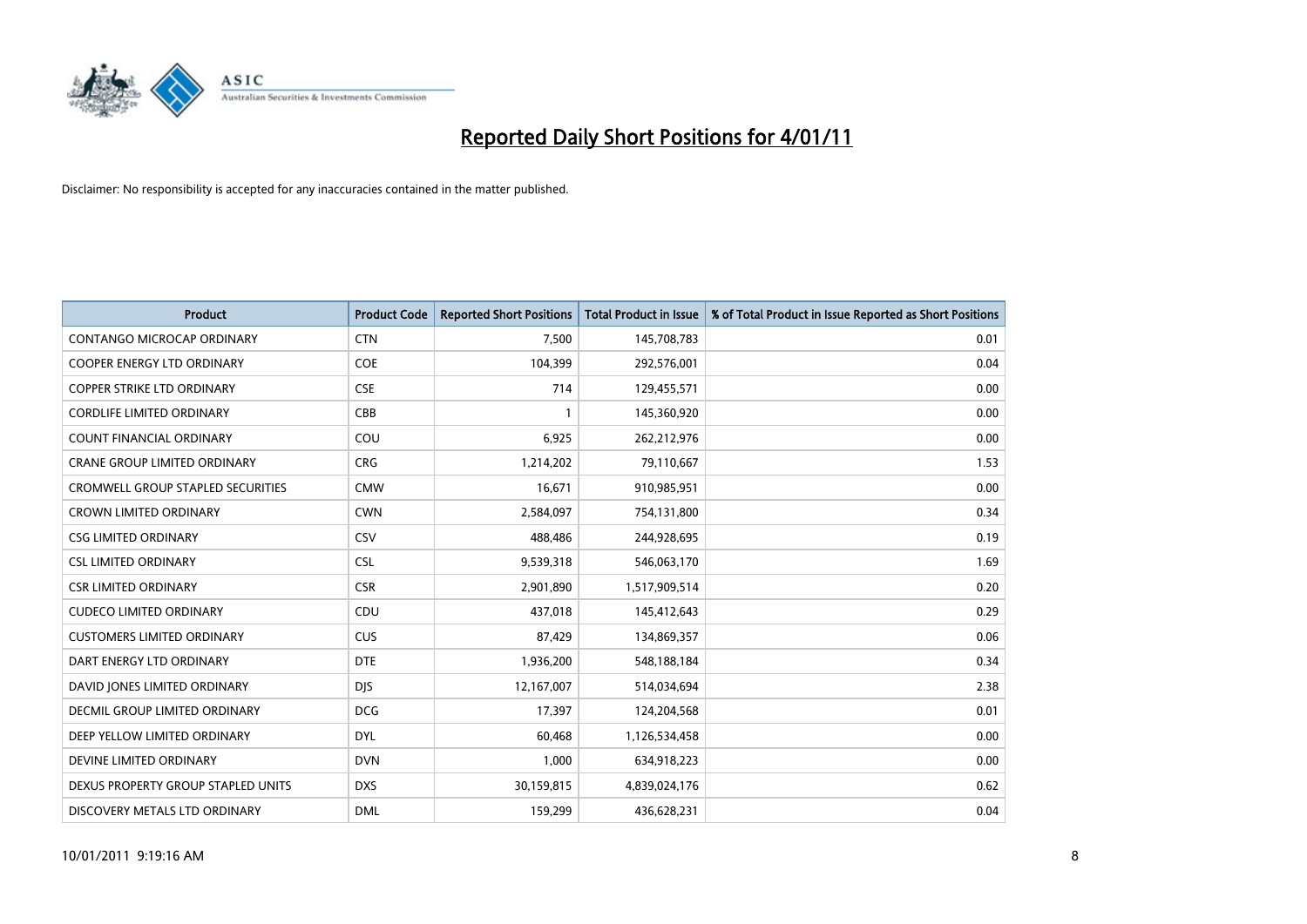

| <b>Product</b>                      | <b>Product Code</b> | <b>Reported Short Positions</b> | <b>Total Product in Issue</b> | % of Total Product in Issue Reported as Short Positions |
|-------------------------------------|---------------------|---------------------------------|-------------------------------|---------------------------------------------------------|
| CONTANGO MICROCAP ORDINARY          | <b>CTN</b>          | 7,500                           | 145,708,783                   | 0.01                                                    |
| COOPER ENERGY LTD ORDINARY          | <b>COE</b>          | 104,399                         | 292,576,001                   | 0.04                                                    |
| COPPER STRIKE LTD ORDINARY          | <b>CSE</b>          | 714                             | 129,455,571                   | 0.00                                                    |
| <b>CORDLIFE LIMITED ORDINARY</b>    | CBB                 | 1                               | 145,360,920                   | 0.00                                                    |
| <b>COUNT FINANCIAL ORDINARY</b>     | COU                 | 6,925                           | 262,212,976                   | 0.00                                                    |
| <b>CRANE GROUP LIMITED ORDINARY</b> | <b>CRG</b>          | 1,214,202                       | 79,110,667                    | 1.53                                                    |
| CROMWELL GROUP STAPLED SECURITIES   | <b>CMW</b>          | 16,671                          | 910,985,951                   | 0.00                                                    |
| <b>CROWN LIMITED ORDINARY</b>       | <b>CWN</b>          | 2,584,097                       | 754,131,800                   | 0.34                                                    |
| <b>CSG LIMITED ORDINARY</b>         | CSV                 | 488,486                         | 244,928,695                   | 0.19                                                    |
| <b>CSL LIMITED ORDINARY</b>         | <b>CSL</b>          | 9,539,318                       | 546,063,170                   | 1.69                                                    |
| <b>CSR LIMITED ORDINARY</b>         | <b>CSR</b>          | 2,901,890                       | 1,517,909,514                 | 0.20                                                    |
| <b>CUDECO LIMITED ORDINARY</b>      | CDU                 | 437,018                         | 145,412,643                   | 0.29                                                    |
| <b>CUSTOMERS LIMITED ORDINARY</b>   | <b>CUS</b>          | 87,429                          | 134,869,357                   | 0.06                                                    |
| DART ENERGY LTD ORDINARY            | <b>DTE</b>          | 1,936,200                       | 548,188,184                   | 0.34                                                    |
| DAVID JONES LIMITED ORDINARY        | <b>DJS</b>          | 12,167,007                      | 514,034,694                   | 2.38                                                    |
| DECMIL GROUP LIMITED ORDINARY       | <b>DCG</b>          | 17,397                          | 124,204,568                   | 0.01                                                    |
| DEEP YELLOW LIMITED ORDINARY        | <b>DYL</b>          | 60,468                          | 1,126,534,458                 | 0.00                                                    |
| DEVINE LIMITED ORDINARY             | <b>DVN</b>          | 1,000                           | 634,918,223                   | 0.00                                                    |
| DEXUS PROPERTY GROUP STAPLED UNITS  | <b>DXS</b>          | 30,159,815                      | 4,839,024,176                 | 0.62                                                    |
| DISCOVERY METALS LTD ORDINARY       | <b>DML</b>          | 159,299                         | 436,628,231                   | 0.04                                                    |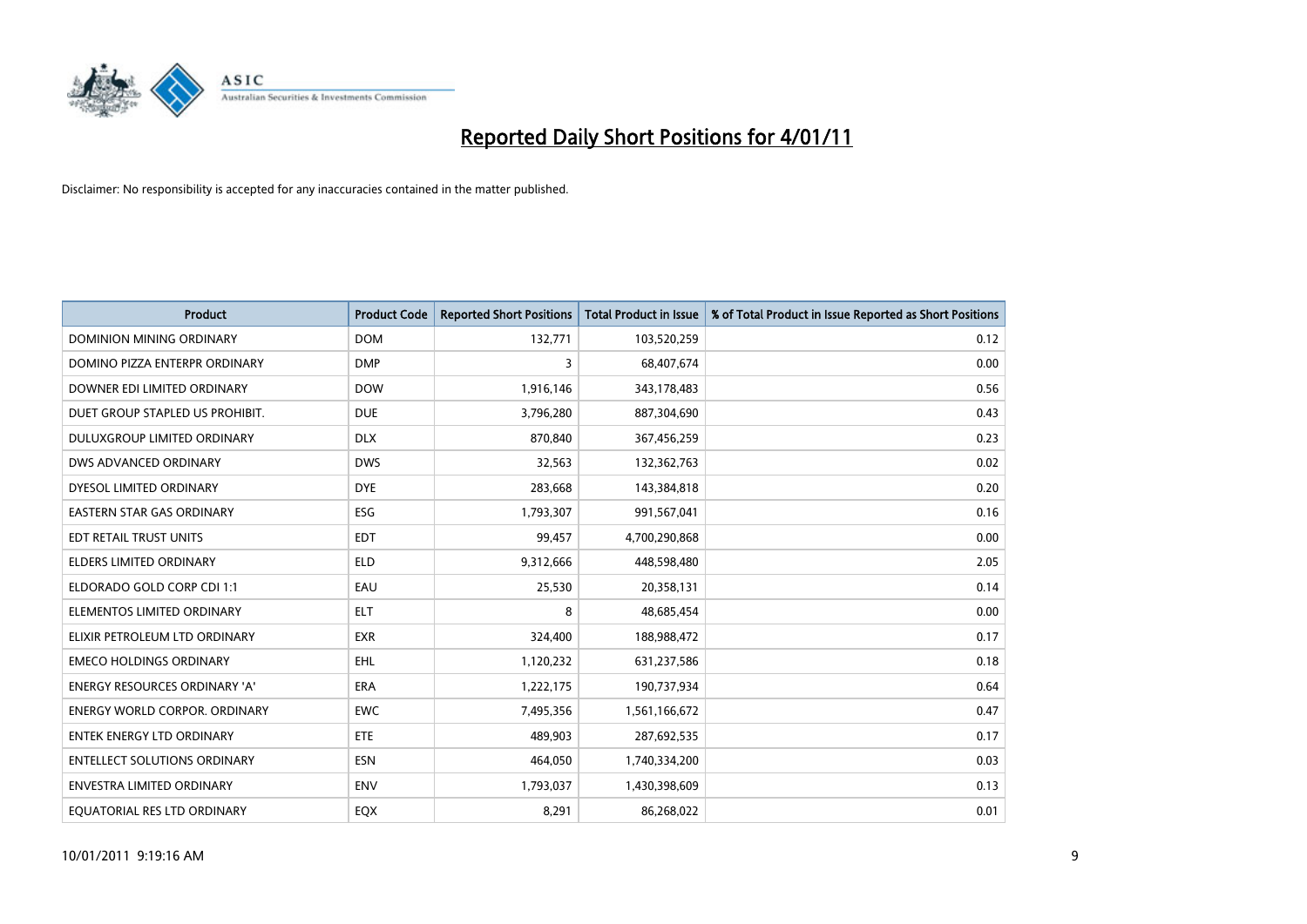

| Product                              | <b>Product Code</b> | <b>Reported Short Positions</b> | <b>Total Product in Issue</b> | % of Total Product in Issue Reported as Short Positions |
|--------------------------------------|---------------------|---------------------------------|-------------------------------|---------------------------------------------------------|
| <b>DOMINION MINING ORDINARY</b>      | <b>DOM</b>          | 132,771                         | 103,520,259                   | 0.12                                                    |
| DOMINO PIZZA ENTERPR ORDINARY        | <b>DMP</b>          | 3                               | 68,407,674                    | 0.00                                                    |
| DOWNER EDI LIMITED ORDINARY          | <b>DOW</b>          | 1,916,146                       | 343,178,483                   | 0.56                                                    |
| DUET GROUP STAPLED US PROHIBIT.      | <b>DUE</b>          | 3,796,280                       | 887,304,690                   | 0.43                                                    |
| <b>DULUXGROUP LIMITED ORDINARY</b>   | <b>DLX</b>          | 870,840                         | 367,456,259                   | 0.23                                                    |
| DWS ADVANCED ORDINARY                | <b>DWS</b>          | 32,563                          | 132,362,763                   | 0.02                                                    |
| DYESOL LIMITED ORDINARY              | <b>DYE</b>          | 283,668                         | 143,384,818                   | 0.20                                                    |
| <b>EASTERN STAR GAS ORDINARY</b>     | <b>ESG</b>          | 1,793,307                       | 991,567,041                   | 0.16                                                    |
| EDT RETAIL TRUST UNITS               | <b>EDT</b>          | 99,457                          | 4,700,290,868                 | 0.00                                                    |
| <b>ELDERS LIMITED ORDINARY</b>       | <b>ELD</b>          | 9,312,666                       | 448,598,480                   | 2.05                                                    |
| ELDORADO GOLD CORP CDI 1:1           | EAU                 | 25,530                          | 20,358,131                    | 0.14                                                    |
| ELEMENTOS LIMITED ORDINARY           | <b>ELT</b>          | 8                               | 48,685,454                    | 0.00                                                    |
| ELIXIR PETROLEUM LTD ORDINARY        | <b>EXR</b>          | 324,400                         | 188,988,472                   | 0.17                                                    |
| <b>EMECO HOLDINGS ORDINARY</b>       | <b>EHL</b>          | 1,120,232                       | 631,237,586                   | 0.18                                                    |
| <b>ENERGY RESOURCES ORDINARY 'A'</b> | <b>ERA</b>          | 1,222,175                       | 190,737,934                   | 0.64                                                    |
| <b>ENERGY WORLD CORPOR. ORDINARY</b> | <b>EWC</b>          | 7,495,356                       | 1,561,166,672                 | 0.47                                                    |
| ENTEK ENERGY LTD ORDINARY            | <b>ETE</b>          | 489,903                         | 287,692,535                   | 0.17                                                    |
| <b>ENTELLECT SOLUTIONS ORDINARY</b>  | <b>ESN</b>          | 464,050                         | 1,740,334,200                 | 0.03                                                    |
| ENVESTRA LIMITED ORDINARY            | ENV                 | 1,793,037                       | 1,430,398,609                 | 0.13                                                    |
| EQUATORIAL RES LTD ORDINARY          | <b>EQX</b>          | 8,291                           | 86,268,022                    | 0.01                                                    |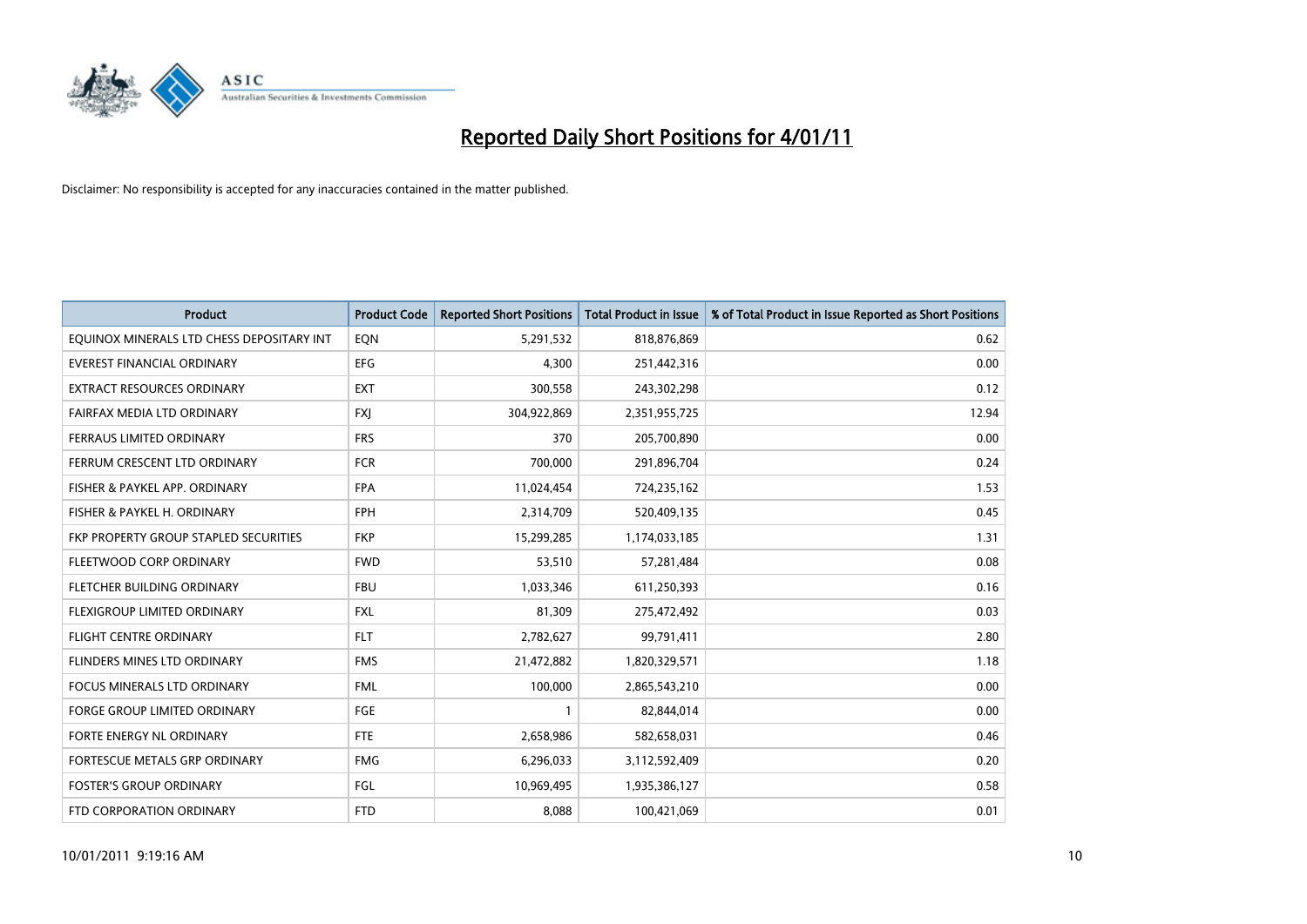

| Product                                   | <b>Product Code</b> | <b>Reported Short Positions</b> | <b>Total Product in Issue</b> | % of Total Product in Issue Reported as Short Positions |
|-------------------------------------------|---------------------|---------------------------------|-------------------------------|---------------------------------------------------------|
| EQUINOX MINERALS LTD CHESS DEPOSITARY INT | EQN                 | 5,291,532                       | 818,876,869                   | 0.62                                                    |
| <b>EVEREST FINANCIAL ORDINARY</b>         | <b>EFG</b>          | 4,300                           | 251,442,316                   | 0.00                                                    |
| <b>EXTRACT RESOURCES ORDINARY</b>         | <b>EXT</b>          | 300,558                         | 243,302,298                   | 0.12                                                    |
| FAIRFAX MEDIA LTD ORDINARY                | <b>FXI</b>          | 304,922,869                     | 2,351,955,725                 | 12.94                                                   |
| <b>FERRAUS LIMITED ORDINARY</b>           | <b>FRS</b>          | 370                             | 205,700,890                   | 0.00                                                    |
| FERRUM CRESCENT LTD ORDINARY              | <b>FCR</b>          | 700,000                         | 291,896,704                   | 0.24                                                    |
| FISHER & PAYKEL APP. ORDINARY             | <b>FPA</b>          | 11,024,454                      | 724,235,162                   | 1.53                                                    |
| FISHER & PAYKEL H. ORDINARY               | <b>FPH</b>          | 2,314,709                       | 520,409,135                   | 0.45                                                    |
| FKP PROPERTY GROUP STAPLED SECURITIES     | <b>FKP</b>          | 15,299,285                      | 1,174,033,185                 | 1.31                                                    |
| FLEETWOOD CORP ORDINARY                   | <b>FWD</b>          | 53,510                          | 57,281,484                    | 0.08                                                    |
| FLETCHER BUILDING ORDINARY                | <b>FBU</b>          | 1,033,346                       | 611,250,393                   | 0.16                                                    |
| FLEXIGROUP LIMITED ORDINARY               | <b>FXL</b>          | 81,309                          | 275,472,492                   | 0.03                                                    |
| <b>FLIGHT CENTRE ORDINARY</b>             | <b>FLT</b>          | 2,782,627                       | 99,791,411                    | 2.80                                                    |
| FLINDERS MINES LTD ORDINARY               | <b>FMS</b>          | 21,472,882                      | 1,820,329,571                 | 1.18                                                    |
| <b>FOCUS MINERALS LTD ORDINARY</b>        | <b>FML</b>          | 100,000                         | 2,865,543,210                 | 0.00                                                    |
| <b>FORGE GROUP LIMITED ORDINARY</b>       | FGE                 | $\mathbf{1}$                    | 82,844,014                    | 0.00                                                    |
| FORTE ENERGY NL ORDINARY                  | <b>FTE</b>          | 2,658,986                       | 582,658,031                   | 0.46                                                    |
| FORTESCUE METALS GRP ORDINARY             | <b>FMG</b>          | 6,296,033                       | 3,112,592,409                 | 0.20                                                    |
| <b>FOSTER'S GROUP ORDINARY</b>            | FGL                 | 10,969,495                      | 1,935,386,127                 | 0.58                                                    |
| FTD CORPORATION ORDINARY                  | <b>FTD</b>          | 8,088                           | 100,421,069                   | 0.01                                                    |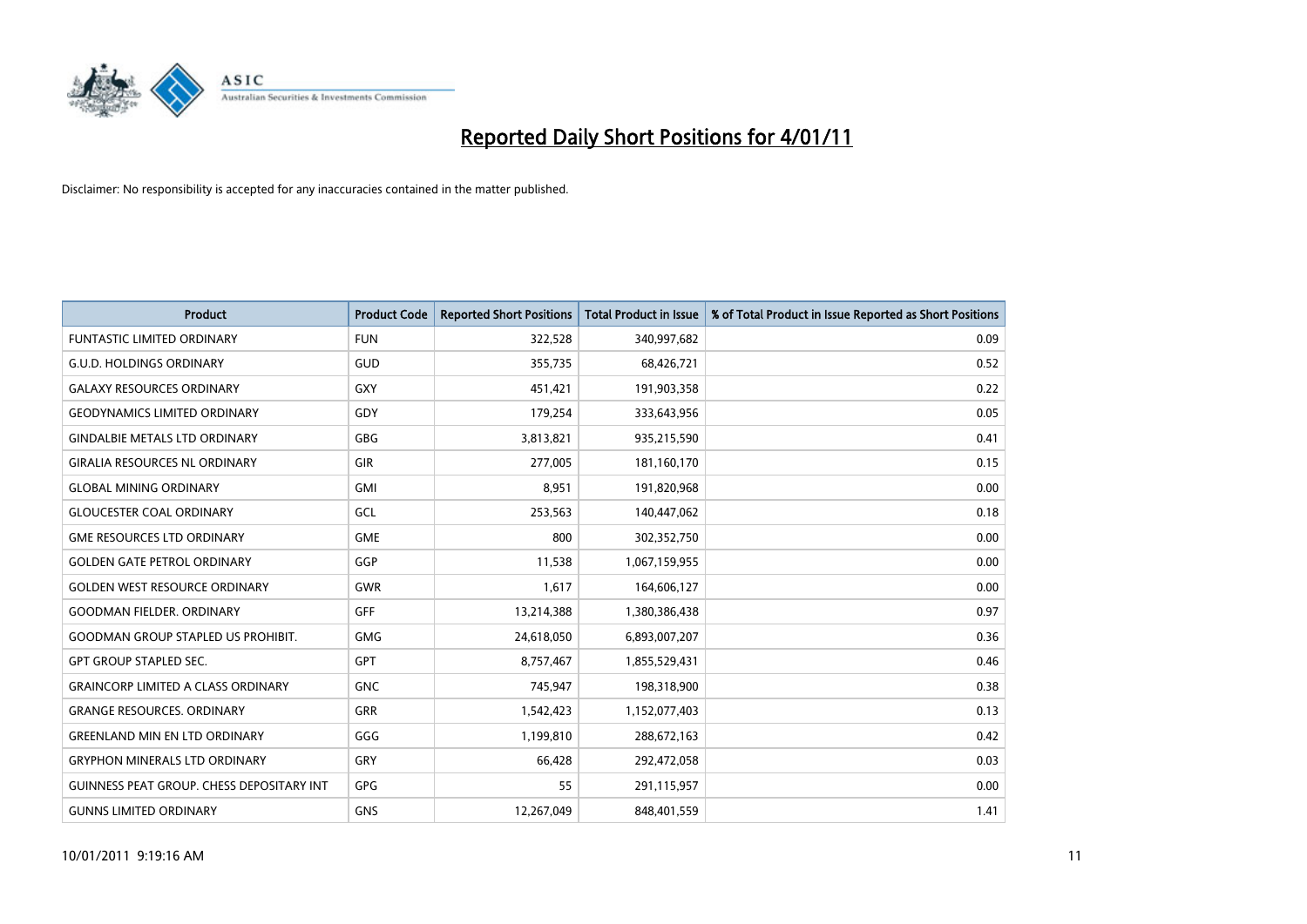

| Product                                          | <b>Product Code</b> | <b>Reported Short Positions</b> | <b>Total Product in Issue</b> | % of Total Product in Issue Reported as Short Positions |
|--------------------------------------------------|---------------------|---------------------------------|-------------------------------|---------------------------------------------------------|
| <b>FUNTASTIC LIMITED ORDINARY</b>                | <b>FUN</b>          | 322,528                         | 340,997,682                   | 0.09                                                    |
| <b>G.U.D. HOLDINGS ORDINARY</b>                  | GUD                 | 355,735                         | 68,426,721                    | 0.52                                                    |
| <b>GALAXY RESOURCES ORDINARY</b>                 | <b>GXY</b>          | 451,421                         | 191,903,358                   | 0.22                                                    |
| <b>GEODYNAMICS LIMITED ORDINARY</b>              | GDY                 | 179,254                         | 333,643,956                   | 0.05                                                    |
| <b>GINDALBIE METALS LTD ORDINARY</b>             | <b>GBG</b>          | 3,813,821                       | 935,215,590                   | 0.41                                                    |
| <b>GIRALIA RESOURCES NL ORDINARY</b>             | <b>GIR</b>          | 277,005                         | 181,160,170                   | 0.15                                                    |
| <b>GLOBAL MINING ORDINARY</b>                    | <b>GMI</b>          | 8,951                           | 191,820,968                   | 0.00                                                    |
| <b>GLOUCESTER COAL ORDINARY</b>                  | GCL                 | 253,563                         | 140,447,062                   | 0.18                                                    |
| <b>GME RESOURCES LTD ORDINARY</b>                | <b>GME</b>          | 800                             | 302,352,750                   | 0.00                                                    |
| <b>GOLDEN GATE PETROL ORDINARY</b>               | GGP                 | 11,538                          | 1,067,159,955                 | 0.00                                                    |
| <b>GOLDEN WEST RESOURCE ORDINARY</b>             | GWR                 | 1,617                           | 164,606,127                   | 0.00                                                    |
| <b>GOODMAN FIELDER, ORDINARY</b>                 | <b>GFF</b>          | 13,214,388                      | 1,380,386,438                 | 0.97                                                    |
| <b>GOODMAN GROUP STAPLED US PROHIBIT.</b>        | <b>GMG</b>          | 24,618,050                      | 6,893,007,207                 | 0.36                                                    |
| <b>GPT GROUP STAPLED SEC.</b>                    | GPT                 | 8,757,467                       | 1,855,529,431                 | 0.46                                                    |
| <b>GRAINCORP LIMITED A CLASS ORDINARY</b>        | <b>GNC</b>          | 745,947                         | 198,318,900                   | 0.38                                                    |
| <b>GRANGE RESOURCES. ORDINARY</b>                | GRR                 | 1,542,423                       | 1,152,077,403                 | 0.13                                                    |
| <b>GREENLAND MIN EN LTD ORDINARY</b>             | GGG                 | 1,199,810                       | 288,672,163                   | 0.42                                                    |
| <b>GRYPHON MINERALS LTD ORDINARY</b>             | GRY                 | 66,428                          | 292,472,058                   | 0.03                                                    |
| <b>GUINNESS PEAT GROUP. CHESS DEPOSITARY INT</b> | <b>GPG</b>          | 55                              | 291,115,957                   | 0.00                                                    |
| <b>GUNNS LIMITED ORDINARY</b>                    | <b>GNS</b>          | 12,267,049                      | 848,401,559                   | 1.41                                                    |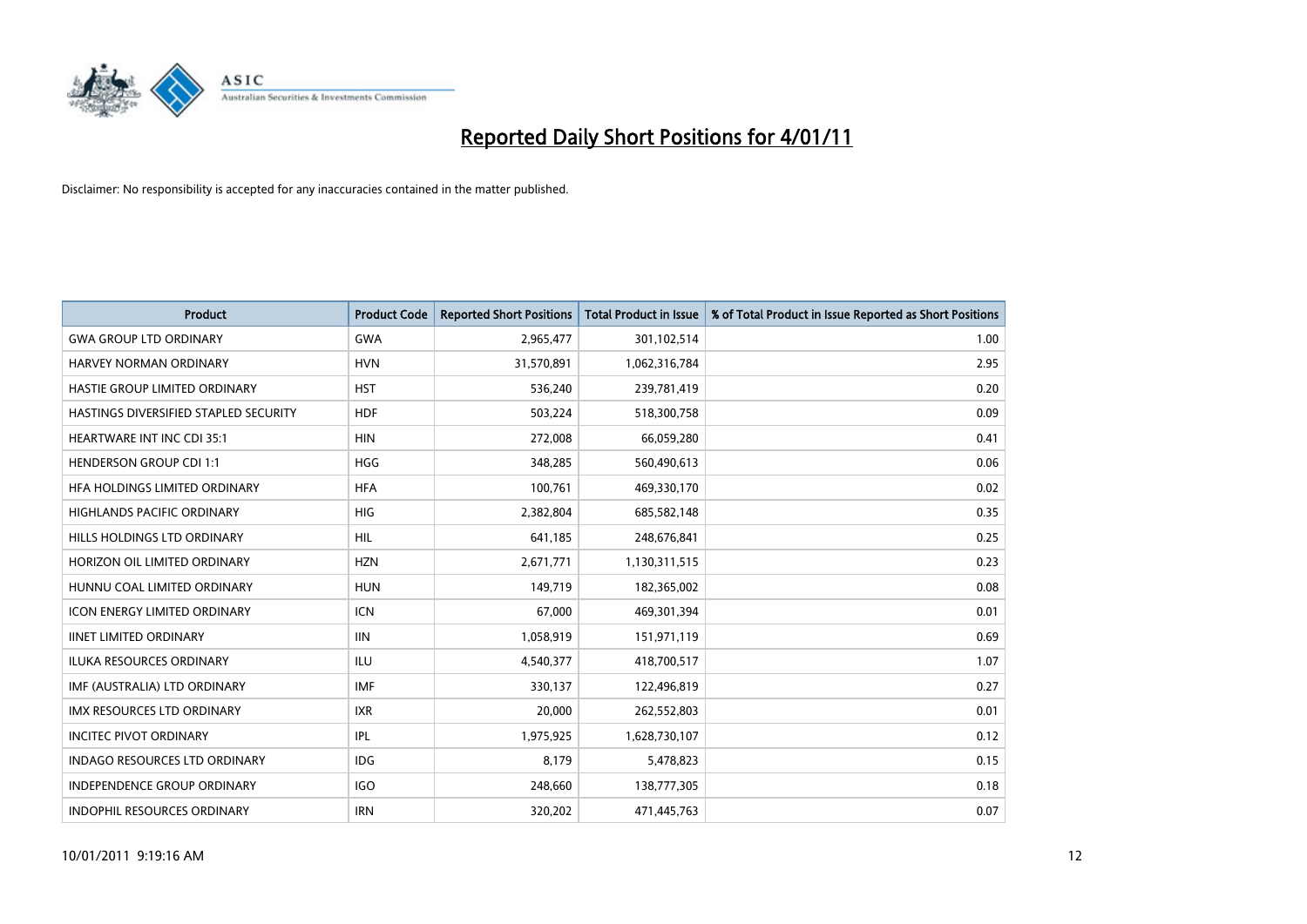

| Product                               | <b>Product Code</b> | <b>Reported Short Positions</b> | <b>Total Product in Issue</b> | % of Total Product in Issue Reported as Short Positions |
|---------------------------------------|---------------------|---------------------------------|-------------------------------|---------------------------------------------------------|
| <b>GWA GROUP LTD ORDINARY</b>         | <b>GWA</b>          | 2,965,477                       | 301,102,514                   | 1.00                                                    |
| HARVEY NORMAN ORDINARY                | <b>HVN</b>          | 31,570,891                      | 1,062,316,784                 | 2.95                                                    |
| HASTIE GROUP LIMITED ORDINARY         | <b>HST</b>          | 536,240                         | 239,781,419                   | 0.20                                                    |
| HASTINGS DIVERSIFIED STAPLED SECURITY | <b>HDF</b>          | 503,224                         | 518,300,758                   | 0.09                                                    |
| <b>HEARTWARE INT INC CDI 35:1</b>     | <b>HIN</b>          | 272,008                         | 66,059,280                    | 0.41                                                    |
| <b>HENDERSON GROUP CDI 1:1</b>        | <b>HGG</b>          | 348,285                         | 560,490,613                   | 0.06                                                    |
| HFA HOLDINGS LIMITED ORDINARY         | <b>HFA</b>          | 100,761                         | 469,330,170                   | 0.02                                                    |
| <b>HIGHLANDS PACIFIC ORDINARY</b>     | <b>HIG</b>          | 2,382,804                       | 685,582,148                   | 0.35                                                    |
| HILLS HOLDINGS LTD ORDINARY           | HIL                 | 641,185                         | 248,676,841                   | 0.25                                                    |
| HORIZON OIL LIMITED ORDINARY          | <b>HZN</b>          | 2,671,771                       | 1,130,311,515                 | 0.23                                                    |
| HUNNU COAL LIMITED ORDINARY           | <b>HUN</b>          | 149,719                         | 182,365,002                   | 0.08                                                    |
| <b>ICON ENERGY LIMITED ORDINARY</b>   | <b>ICN</b>          | 67,000                          | 469,301,394                   | 0.01                                                    |
| <b>IINET LIMITED ORDINARY</b>         | <b>IIN</b>          | 1,058,919                       | 151,971,119                   | 0.69                                                    |
| <b>ILUKA RESOURCES ORDINARY</b>       | ILU                 | 4,540,377                       | 418,700,517                   | 1.07                                                    |
| IMF (AUSTRALIA) LTD ORDINARY          | <b>IMF</b>          | 330,137                         | 122,496,819                   | 0.27                                                    |
| <b>IMX RESOURCES LTD ORDINARY</b>     | <b>IXR</b>          | 20,000                          | 262,552,803                   | 0.01                                                    |
| <b>INCITEC PIVOT ORDINARY</b>         | IPL                 | 1,975,925                       | 1,628,730,107                 | 0.12                                                    |
| <b>INDAGO RESOURCES LTD ORDINARY</b>  | <b>IDG</b>          | 8,179                           | 5,478,823                     | 0.15                                                    |
| <b>INDEPENDENCE GROUP ORDINARY</b>    | <b>IGO</b>          | 248,660                         | 138,777,305                   | 0.18                                                    |
| INDOPHIL RESOURCES ORDINARY           | <b>IRN</b>          | 320,202                         | 471,445,763                   | 0.07                                                    |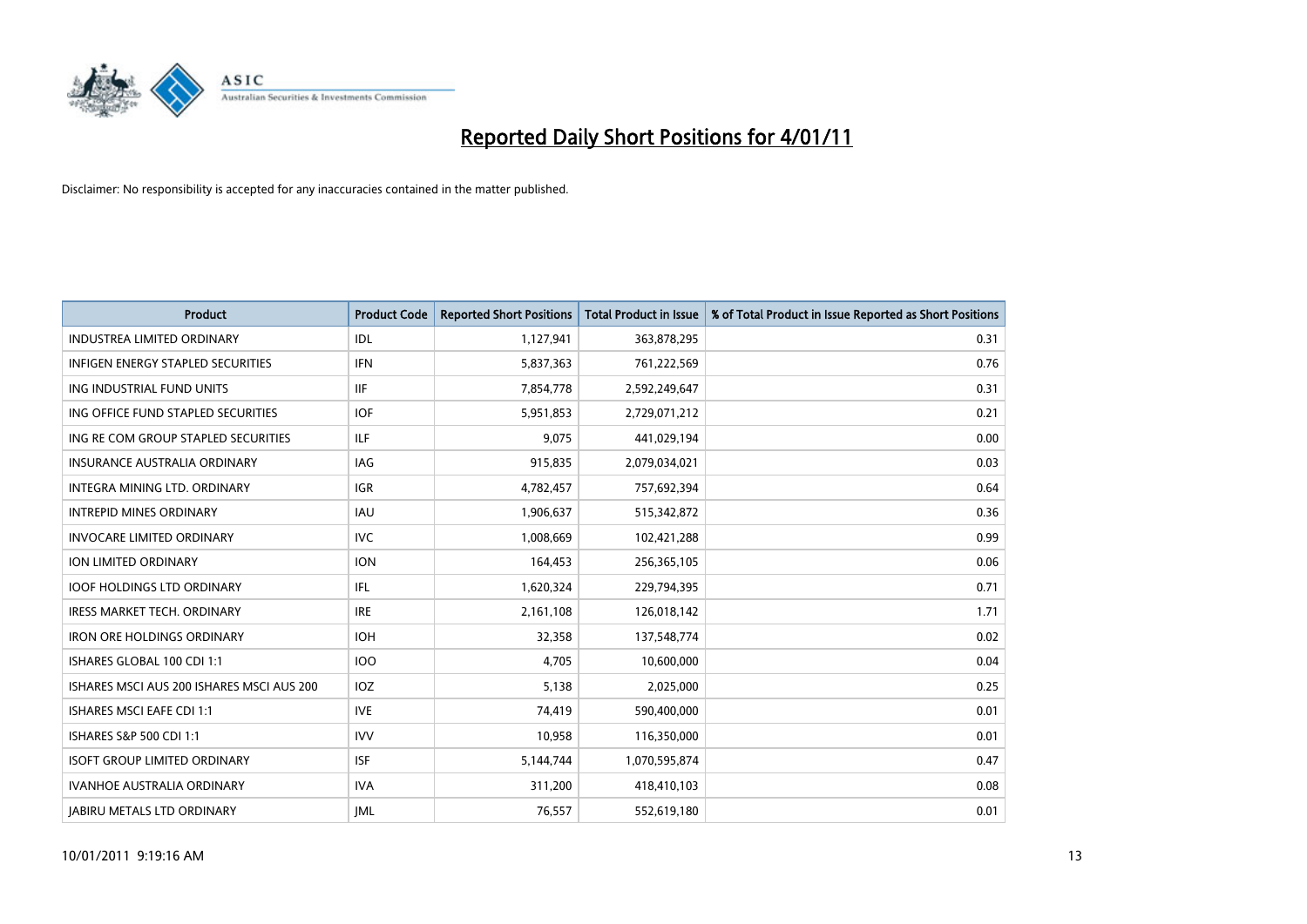

| Product                                   | <b>Product Code</b> | <b>Reported Short Positions</b> | <b>Total Product in Issue</b> | % of Total Product in Issue Reported as Short Positions |
|-------------------------------------------|---------------------|---------------------------------|-------------------------------|---------------------------------------------------------|
| <b>INDUSTREA LIMITED ORDINARY</b>         | IDL                 | 1,127,941                       | 363,878,295                   | 0.31                                                    |
| INFIGEN ENERGY STAPLED SECURITIES         | <b>IFN</b>          | 5,837,363                       | 761,222,569                   | 0.76                                                    |
| ING INDUSTRIAL FUND UNITS                 | <b>IIF</b>          | 7,854,778                       | 2,592,249,647                 | 0.31                                                    |
| ING OFFICE FUND STAPLED SECURITIES        | <b>IOF</b>          | 5,951,853                       | 2,729,071,212                 | 0.21                                                    |
| ING RE COM GROUP STAPLED SECURITIES       | <b>ILF</b>          | 9,075                           | 441,029,194                   | 0.00                                                    |
| <b>INSURANCE AUSTRALIA ORDINARY</b>       | <b>IAG</b>          | 915,835                         | 2,079,034,021                 | 0.03                                                    |
| INTEGRA MINING LTD, ORDINARY              | <b>IGR</b>          | 4,782,457                       | 757,692,394                   | 0.64                                                    |
| <b>INTREPID MINES ORDINARY</b>            | IAU                 | 1,906,637                       | 515,342,872                   | 0.36                                                    |
| <b>INVOCARE LIMITED ORDINARY</b>          | <b>IVC</b>          | 1,008,669                       | 102,421,288                   | 0.99                                                    |
| <b>ION LIMITED ORDINARY</b>               | <b>ION</b>          | 164,453                         | 256,365,105                   | 0.06                                                    |
| <b>IOOF HOLDINGS LTD ORDINARY</b>         | IFL.                | 1,620,324                       | 229,794,395                   | 0.71                                                    |
| <b>IRESS MARKET TECH. ORDINARY</b>        | <b>IRE</b>          | 2,161,108                       | 126,018,142                   | 1.71                                                    |
| <b>IRON ORE HOLDINGS ORDINARY</b>         | <b>IOH</b>          | 32,358                          | 137,548,774                   | 0.02                                                    |
| ISHARES GLOBAL 100 CDI 1:1                | 100                 | 4,705                           | 10,600,000                    | 0.04                                                    |
| ISHARES MSCI AUS 200 ISHARES MSCI AUS 200 | IOZ                 | 5,138                           | 2,025,000                     | 0.25                                                    |
| <b>ISHARES MSCI EAFE CDI 1:1</b>          | <b>IVE</b>          | 74,419                          | 590,400,000                   | 0.01                                                    |
| ISHARES S&P 500 CDI 1:1                   | <b>IVV</b>          | 10,958                          | 116,350,000                   | 0.01                                                    |
| <b>ISOFT GROUP LIMITED ORDINARY</b>       | <b>ISF</b>          | 5,144,744                       | 1,070,595,874                 | 0.47                                                    |
| <b>IVANHOE AUSTRALIA ORDINARY</b>         | <b>IVA</b>          | 311,200                         | 418,410,103                   | 0.08                                                    |
| <b>JABIRU METALS LTD ORDINARY</b>         | <b>JML</b>          | 76,557                          | 552,619,180                   | 0.01                                                    |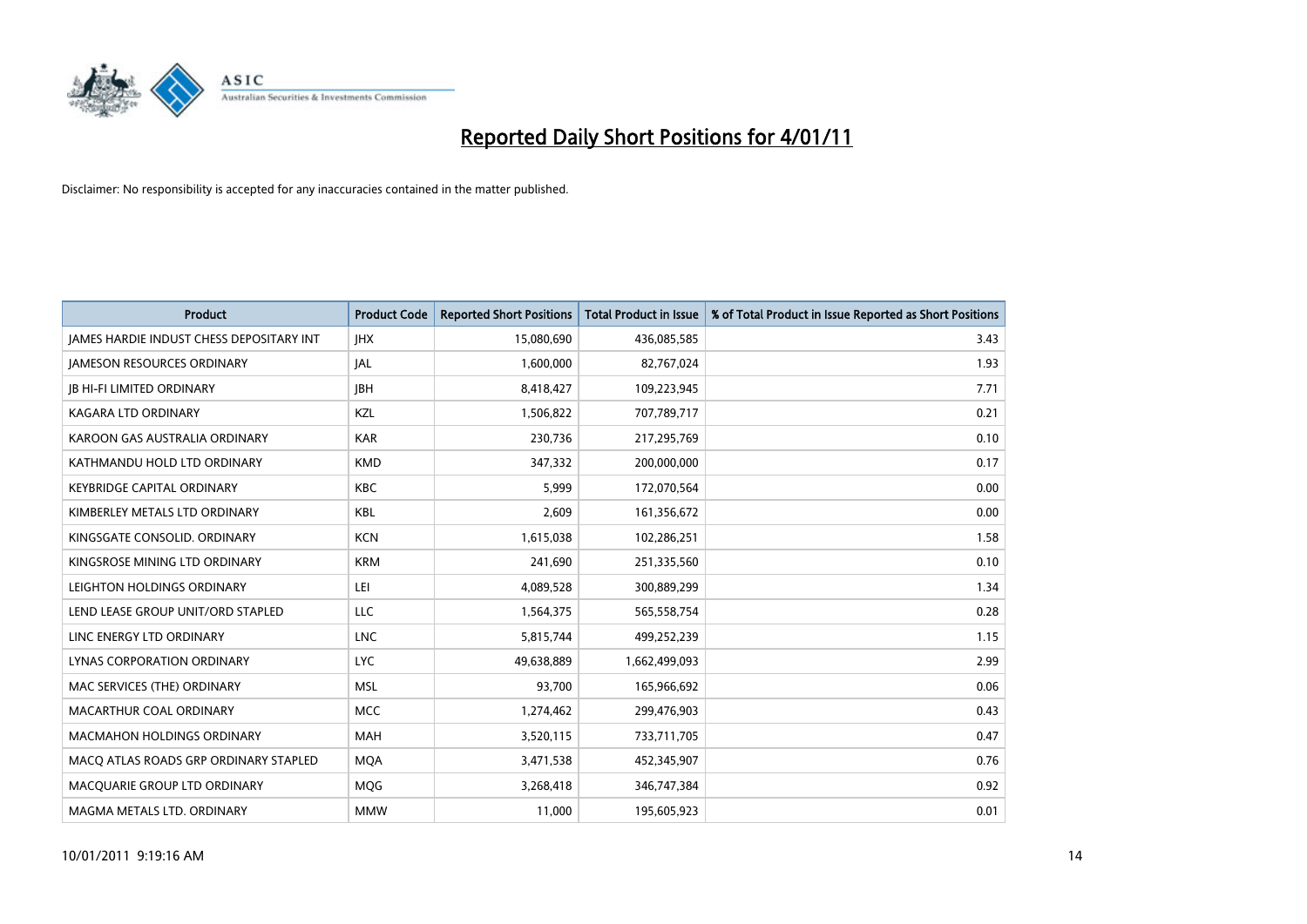

| Product                                  | <b>Product Code</b> | <b>Reported Short Positions</b> | <b>Total Product in Issue</b> | % of Total Product in Issue Reported as Short Positions |
|------------------------------------------|---------------------|---------------------------------|-------------------------------|---------------------------------------------------------|
| JAMES HARDIE INDUST CHESS DEPOSITARY INT | <b>IHX</b>          | 15,080,690                      | 436,085,585                   | 3.43                                                    |
| <b>JAMESON RESOURCES ORDINARY</b>        | JAL                 | 1,600,000                       | 82,767,024                    | 1.93                                                    |
| <b>JB HI-FI LIMITED ORDINARY</b>         | <b>IBH</b>          | 8,418,427                       | 109,223,945                   | 7.71                                                    |
| KAGARA LTD ORDINARY                      | KZL                 | 1,506,822                       | 707,789,717                   | 0.21                                                    |
| KAROON GAS AUSTRALIA ORDINARY            | <b>KAR</b>          | 230,736                         | 217,295,769                   | 0.10                                                    |
| KATHMANDU HOLD LTD ORDINARY              | <b>KMD</b>          | 347,332                         | 200,000,000                   | 0.17                                                    |
| <b>KEYBRIDGE CAPITAL ORDINARY</b>        | <b>KBC</b>          | 5,999                           | 172,070,564                   | 0.00                                                    |
| KIMBERLEY METALS LTD ORDINARY            | <b>KBL</b>          | 2,609                           | 161,356,672                   | 0.00                                                    |
| KINGSGATE CONSOLID. ORDINARY             | <b>KCN</b>          | 1,615,038                       | 102,286,251                   | 1.58                                                    |
| KINGSROSE MINING LTD ORDINARY            | <b>KRM</b>          | 241,690                         | 251,335,560                   | 0.10                                                    |
| LEIGHTON HOLDINGS ORDINARY               | LEI                 | 4,089,528                       | 300,889,299                   | 1.34                                                    |
| LEND LEASE GROUP UNIT/ORD STAPLED        | LLC                 | 1,564,375                       | 565,558,754                   | 0.28                                                    |
| LINC ENERGY LTD ORDINARY                 | <b>LNC</b>          | 5,815,744                       | 499,252,239                   | 1.15                                                    |
| LYNAS CORPORATION ORDINARY               | <b>LYC</b>          | 49,638,889                      | 1,662,499,093                 | 2.99                                                    |
| MAC SERVICES (THE) ORDINARY              | <b>MSL</b>          | 93,700                          | 165,966,692                   | 0.06                                                    |
| MACARTHUR COAL ORDINARY                  | <b>MCC</b>          | 1,274,462                       | 299,476,903                   | 0.43                                                    |
| <b>MACMAHON HOLDINGS ORDINARY</b>        | <b>MAH</b>          | 3,520,115                       | 733,711,705                   | 0.47                                                    |
| MACO ATLAS ROADS GRP ORDINARY STAPLED    | <b>MQA</b>          | 3,471,538                       | 452,345,907                   | 0.76                                                    |
| MACOUARIE GROUP LTD ORDINARY             | <b>MOG</b>          | 3,268,418                       | 346,747,384                   | 0.92                                                    |
| MAGMA METALS LTD. ORDINARY               | <b>MMW</b>          | 11,000                          | 195,605,923                   | 0.01                                                    |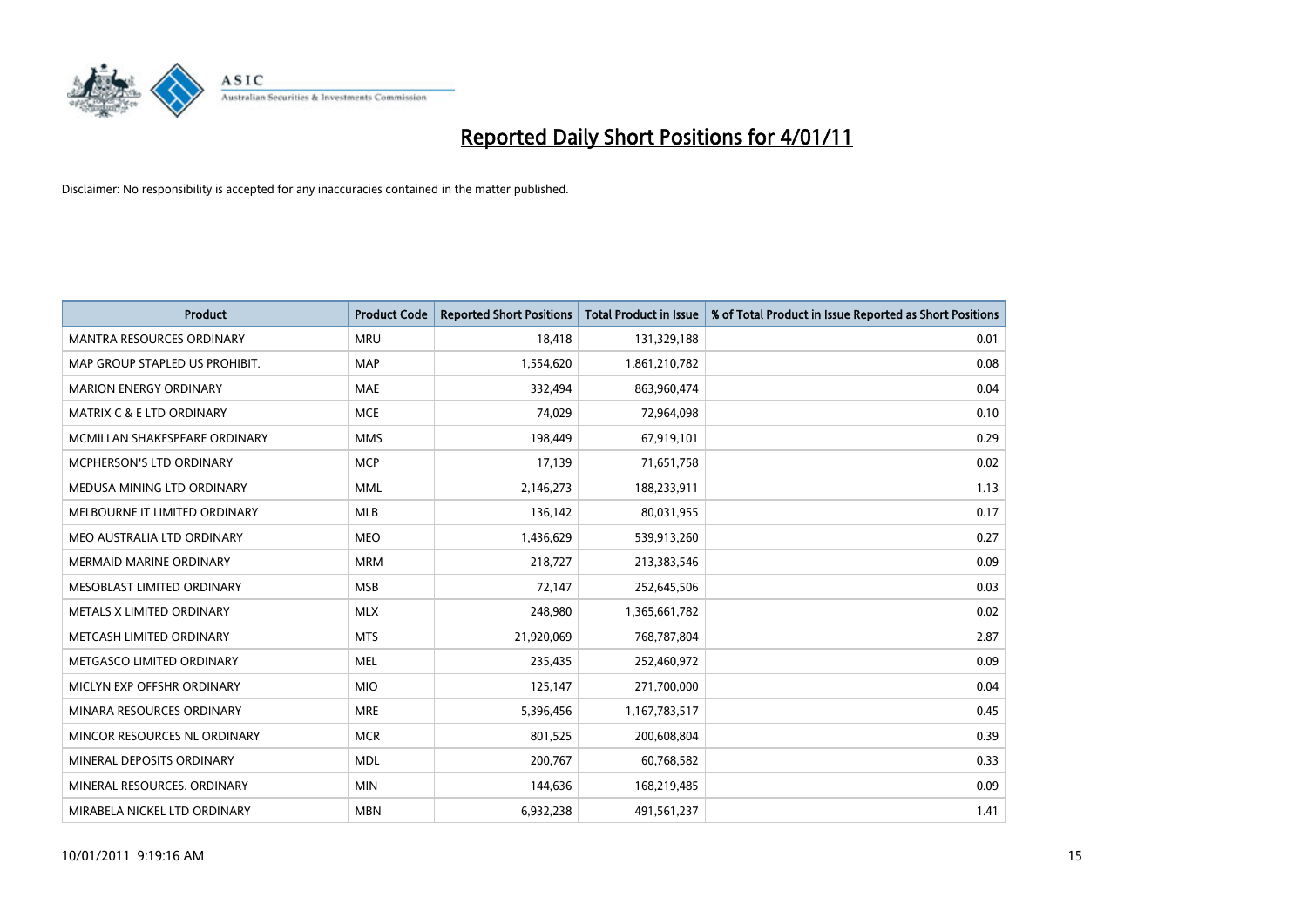

| Product                          | <b>Product Code</b> | <b>Reported Short Positions</b> | <b>Total Product in Issue</b> | % of Total Product in Issue Reported as Short Positions |
|----------------------------------|---------------------|---------------------------------|-------------------------------|---------------------------------------------------------|
| <b>MANTRA RESOURCES ORDINARY</b> | <b>MRU</b>          | 18,418                          | 131,329,188                   | 0.01                                                    |
| MAP GROUP STAPLED US PROHIBIT.   | <b>MAP</b>          | 1,554,620                       | 1,861,210,782                 | 0.08                                                    |
| <b>MARION ENERGY ORDINARY</b>    | <b>MAE</b>          | 332,494                         | 863,960,474                   | 0.04                                                    |
| MATRIX C & E LTD ORDINARY        | <b>MCE</b>          | 74,029                          | 72,964,098                    | 0.10                                                    |
| MCMILLAN SHAKESPEARE ORDINARY    | <b>MMS</b>          | 198,449                         | 67,919,101                    | 0.29                                                    |
| MCPHERSON'S LTD ORDINARY         | <b>MCP</b>          | 17,139                          | 71,651,758                    | 0.02                                                    |
| MEDUSA MINING LTD ORDINARY       | <b>MML</b>          | 2,146,273                       | 188,233,911                   | 1.13                                                    |
| MELBOURNE IT LIMITED ORDINARY    | MLB                 | 136,142                         | 80,031,955                    | 0.17                                                    |
| MEO AUSTRALIA LTD ORDINARY       | <b>MEO</b>          | 1,436,629                       | 539,913,260                   | 0.27                                                    |
| <b>MERMAID MARINE ORDINARY</b>   | <b>MRM</b>          | 218,727                         | 213,383,546                   | 0.09                                                    |
| MESOBLAST LIMITED ORDINARY       | <b>MSB</b>          | 72,147                          | 252,645,506                   | 0.03                                                    |
| METALS X LIMITED ORDINARY        | <b>MLX</b>          | 248,980                         | 1,365,661,782                 | 0.02                                                    |
| METCASH LIMITED ORDINARY         | <b>MTS</b>          | 21,920,069                      | 768,787,804                   | 2.87                                                    |
| METGASCO LIMITED ORDINARY        | <b>MEL</b>          | 235,435                         | 252,460,972                   | 0.09                                                    |
| MICLYN EXP OFFSHR ORDINARY       | <b>MIO</b>          | 125,147                         | 271,700,000                   | 0.04                                                    |
| MINARA RESOURCES ORDINARY        | <b>MRE</b>          | 5,396,456                       | 1,167,783,517                 | 0.45                                                    |
| MINCOR RESOURCES NL ORDINARY     | <b>MCR</b>          | 801,525                         | 200,608,804                   | 0.39                                                    |
| MINERAL DEPOSITS ORDINARY        | <b>MDL</b>          | 200,767                         | 60,768,582                    | 0.33                                                    |
| MINERAL RESOURCES, ORDINARY      | <b>MIN</b>          | 144,636                         | 168,219,485                   | 0.09                                                    |
| MIRABELA NICKEL LTD ORDINARY     | <b>MBN</b>          | 6,932,238                       | 491,561,237                   | 1.41                                                    |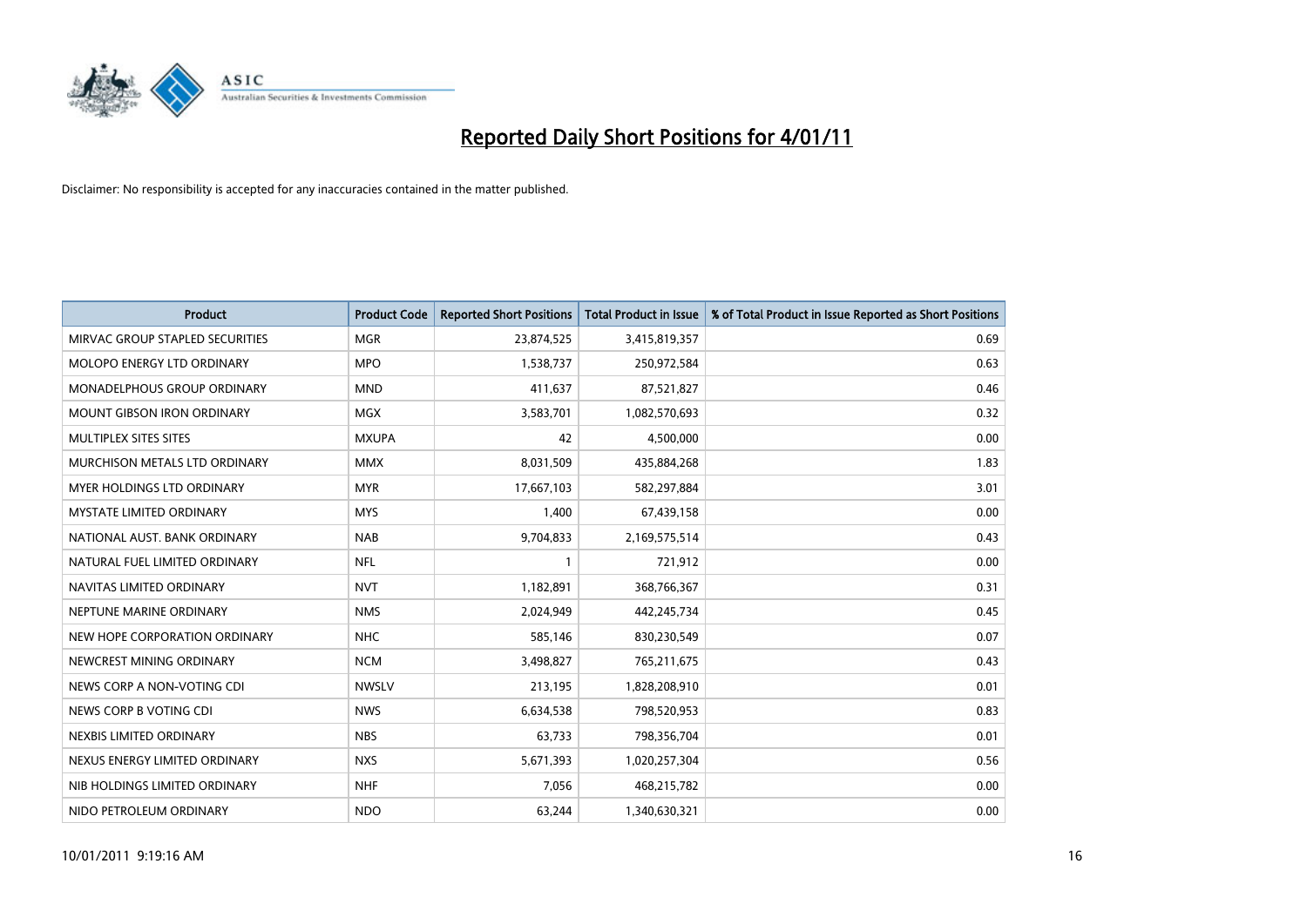

| Product                           | <b>Product Code</b> | <b>Reported Short Positions</b> | <b>Total Product in Issue</b> | % of Total Product in Issue Reported as Short Positions |
|-----------------------------------|---------------------|---------------------------------|-------------------------------|---------------------------------------------------------|
| MIRVAC GROUP STAPLED SECURITIES   | <b>MGR</b>          | 23,874,525                      | 3,415,819,357                 | 0.69                                                    |
| MOLOPO ENERGY LTD ORDINARY        | <b>MPO</b>          | 1,538,737                       | 250,972,584                   | 0.63                                                    |
| MONADELPHOUS GROUP ORDINARY       | <b>MND</b>          | 411,637                         | 87,521,827                    | 0.46                                                    |
| <b>MOUNT GIBSON IRON ORDINARY</b> | <b>MGX</b>          | 3,583,701                       | 1,082,570,693                 | 0.32                                                    |
| MULTIPLEX SITES SITES             | <b>MXUPA</b>        | 42                              | 4,500,000                     | 0.00                                                    |
| MURCHISON METALS LTD ORDINARY     | <b>MMX</b>          | 8,031,509                       | 435,884,268                   | 1.83                                                    |
| MYER HOLDINGS LTD ORDINARY        | <b>MYR</b>          | 17,667,103                      | 582,297,884                   | 3.01                                                    |
| <b>MYSTATE LIMITED ORDINARY</b>   | <b>MYS</b>          | 1,400                           | 67,439,158                    | 0.00                                                    |
| NATIONAL AUST, BANK ORDINARY      | <b>NAB</b>          | 9,704,833                       | 2,169,575,514                 | 0.43                                                    |
| NATURAL FUEL LIMITED ORDINARY     | <b>NFL</b>          | 1                               | 721,912                       | 0.00                                                    |
| NAVITAS LIMITED ORDINARY          | <b>NVT</b>          | 1,182,891                       | 368,766,367                   | 0.31                                                    |
| NEPTUNE MARINE ORDINARY           | <b>NMS</b>          | 2,024,949                       | 442,245,734                   | 0.45                                                    |
| NEW HOPE CORPORATION ORDINARY     | <b>NHC</b>          | 585,146                         | 830,230,549                   | 0.07                                                    |
| NEWCREST MINING ORDINARY          | <b>NCM</b>          | 3,498,827                       | 765,211,675                   | 0.43                                                    |
| NEWS CORP A NON-VOTING CDI        | <b>NWSLV</b>        | 213,195                         | 1,828,208,910                 | 0.01                                                    |
| NEWS CORP B VOTING CDI            | <b>NWS</b>          | 6,634,538                       | 798,520,953                   | 0.83                                                    |
| NEXBIS LIMITED ORDINARY           | <b>NBS</b>          | 63,733                          | 798,356,704                   | 0.01                                                    |
| NEXUS ENERGY LIMITED ORDINARY     | <b>NXS</b>          | 5,671,393                       | 1,020,257,304                 | 0.56                                                    |
| NIB HOLDINGS LIMITED ORDINARY     | <b>NHF</b>          | 7,056                           | 468,215,782                   | 0.00                                                    |
| NIDO PETROLEUM ORDINARY           | <b>NDO</b>          | 63,244                          | 1,340,630,321                 | 0.00                                                    |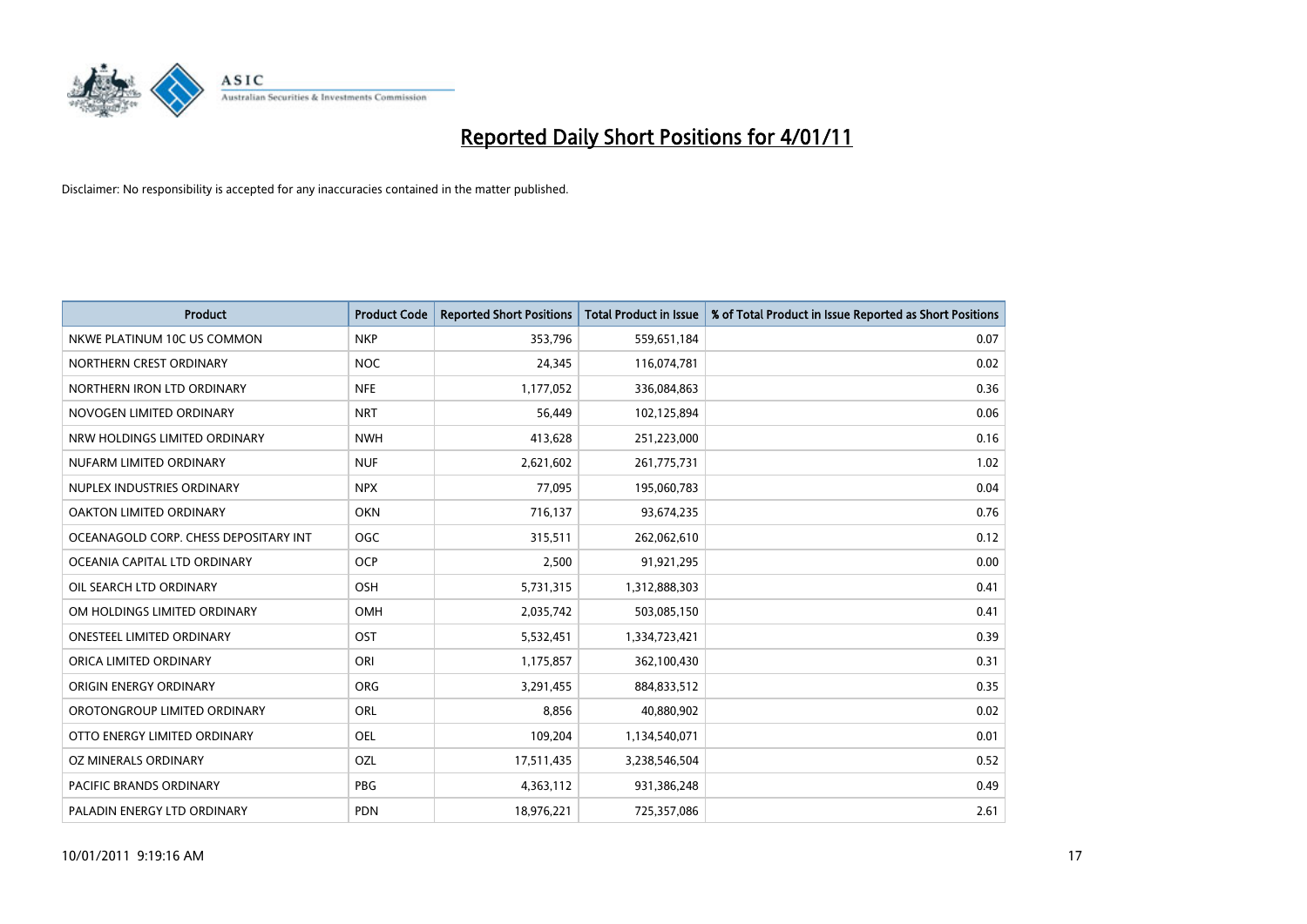

| Product                               | <b>Product Code</b> | <b>Reported Short Positions</b> | <b>Total Product in Issue</b> | % of Total Product in Issue Reported as Short Positions |
|---------------------------------------|---------------------|---------------------------------|-------------------------------|---------------------------------------------------------|
| NKWE PLATINUM 10C US COMMON           | <b>NKP</b>          | 353,796                         | 559,651,184                   | 0.07                                                    |
| NORTHERN CREST ORDINARY               | <b>NOC</b>          | 24,345                          | 116,074,781                   | 0.02                                                    |
| NORTHERN IRON LTD ORDINARY            | <b>NFE</b>          | 1,177,052                       | 336,084,863                   | 0.36                                                    |
| NOVOGEN LIMITED ORDINARY              | <b>NRT</b>          | 56,449                          | 102,125,894                   | 0.06                                                    |
| NRW HOLDINGS LIMITED ORDINARY         | <b>NWH</b>          | 413,628                         | 251,223,000                   | 0.16                                                    |
| NUFARM LIMITED ORDINARY               | <b>NUF</b>          | 2,621,602                       | 261,775,731                   | 1.02                                                    |
| NUPLEX INDUSTRIES ORDINARY            | <b>NPX</b>          | 77,095                          | 195,060,783                   | 0.04                                                    |
| OAKTON LIMITED ORDINARY               | <b>OKN</b>          | 716,137                         | 93,674,235                    | 0.76                                                    |
| OCEANAGOLD CORP. CHESS DEPOSITARY INT | <b>OGC</b>          | 315,511                         | 262,062,610                   | 0.12                                                    |
| OCEANIA CAPITAL LTD ORDINARY          | <b>OCP</b>          | 2,500                           | 91,921,295                    | 0.00                                                    |
| OIL SEARCH LTD ORDINARY               | <b>OSH</b>          | 5,731,315                       | 1,312,888,303                 | 0.41                                                    |
| OM HOLDINGS LIMITED ORDINARY          | <b>OMH</b>          | 2,035,742                       | 503,085,150                   | 0.41                                                    |
| <b>ONESTEEL LIMITED ORDINARY</b>      | OST                 | 5,532,451                       | 1,334,723,421                 | 0.39                                                    |
| ORICA LIMITED ORDINARY                | ORI                 | 1,175,857                       | 362,100,430                   | 0.31                                                    |
| ORIGIN ENERGY ORDINARY                | <b>ORG</b>          | 3,291,455                       | 884,833,512                   | 0.35                                                    |
| OROTONGROUP LIMITED ORDINARY          | <b>ORL</b>          | 8,856                           | 40,880,902                    | 0.02                                                    |
| OTTO ENERGY LIMITED ORDINARY          | <b>OEL</b>          | 109,204                         | 1,134,540,071                 | 0.01                                                    |
| OZ MINERALS ORDINARY                  | OZL                 | 17,511,435                      | 3,238,546,504                 | 0.52                                                    |
| <b>PACIFIC BRANDS ORDINARY</b>        | <b>PBG</b>          | 4,363,112                       | 931,386,248                   | 0.49                                                    |
| PALADIN ENERGY LTD ORDINARY           | <b>PDN</b>          | 18,976,221                      | 725,357,086                   | 2.61                                                    |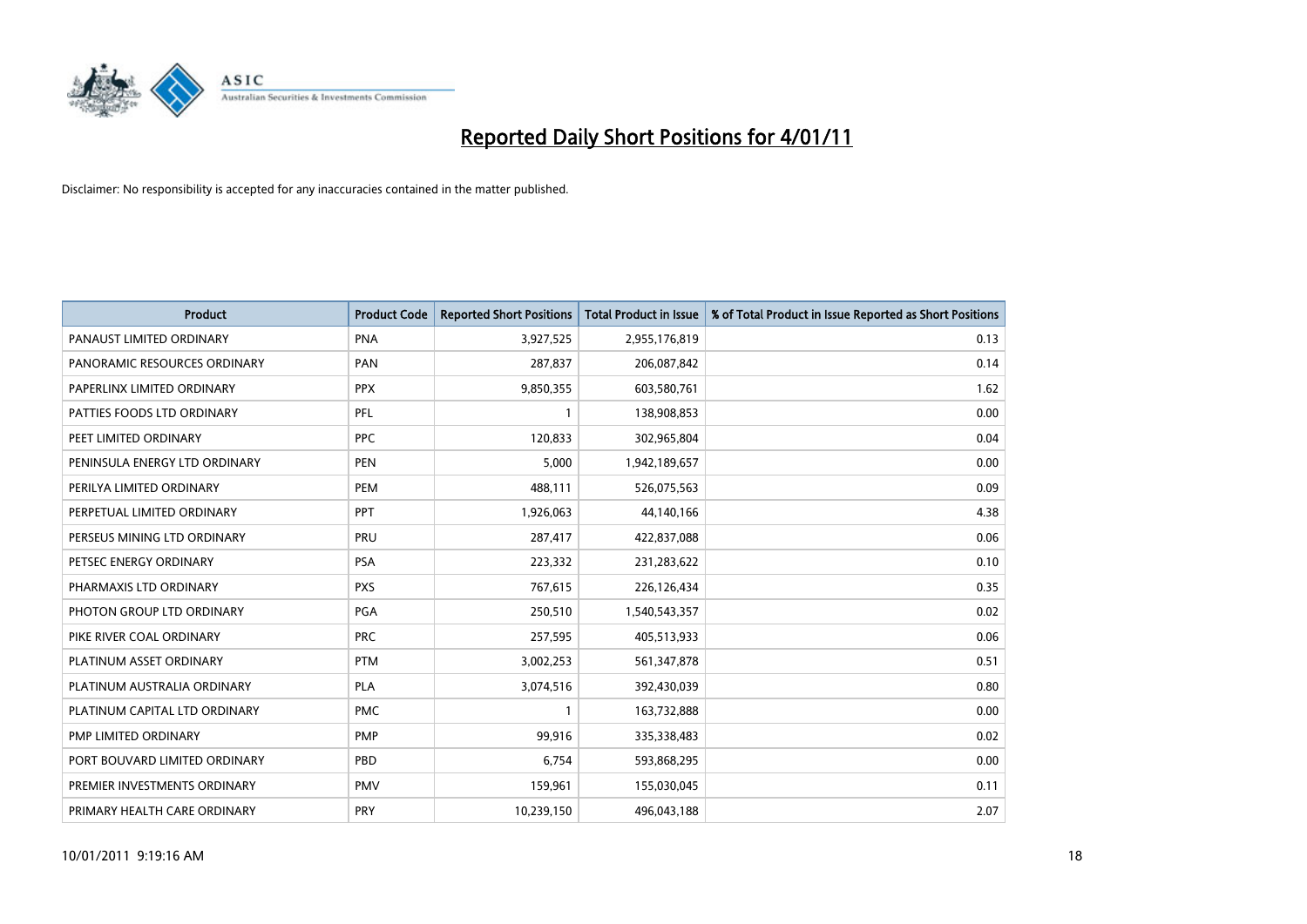

| Product                       | <b>Product Code</b> | <b>Reported Short Positions</b> | <b>Total Product in Issue</b> | % of Total Product in Issue Reported as Short Positions |
|-------------------------------|---------------------|---------------------------------|-------------------------------|---------------------------------------------------------|
| PANAUST LIMITED ORDINARY      | <b>PNA</b>          | 3,927,525                       | 2,955,176,819                 | 0.13                                                    |
| PANORAMIC RESOURCES ORDINARY  | PAN                 | 287,837                         | 206,087,842                   | 0.14                                                    |
| PAPERLINX LIMITED ORDINARY    | <b>PPX</b>          | 9,850,355                       | 603,580,761                   | 1.62                                                    |
| PATTIES FOODS LTD ORDINARY    | PFL                 | 1                               | 138,908,853                   | 0.00                                                    |
| PEET LIMITED ORDINARY         | <b>PPC</b>          | 120,833                         | 302,965,804                   | 0.04                                                    |
| PENINSULA ENERGY LTD ORDINARY | <b>PEN</b>          | 5,000                           | 1,942,189,657                 | 0.00                                                    |
| PERILYA LIMITED ORDINARY      | <b>PEM</b>          | 488,111                         | 526,075,563                   | 0.09                                                    |
| PERPETUAL LIMITED ORDINARY    | PPT                 | 1,926,063                       | 44,140,166                    | 4.38                                                    |
| PERSEUS MINING LTD ORDINARY   | PRU                 | 287,417                         | 422,837,088                   | 0.06                                                    |
| PETSEC ENERGY ORDINARY        | PSA                 | 223,332                         | 231,283,622                   | 0.10                                                    |
| PHARMAXIS LTD ORDINARY        | <b>PXS</b>          | 767,615                         | 226,126,434                   | 0.35                                                    |
| PHOTON GROUP LTD ORDINARY     | <b>PGA</b>          | 250,510                         | 1,540,543,357                 | 0.02                                                    |
| PIKE RIVER COAL ORDINARY      | <b>PRC</b>          | 257,595                         | 405,513,933                   | 0.06                                                    |
| PLATINUM ASSET ORDINARY       | <b>PTM</b>          | 3,002,253                       | 561,347,878                   | 0.51                                                    |
| PLATINUM AUSTRALIA ORDINARY   | <b>PLA</b>          | 3,074,516                       | 392,430,039                   | 0.80                                                    |
| PLATINUM CAPITAL LTD ORDINARY | <b>PMC</b>          | 1                               | 163,732,888                   | 0.00                                                    |
| PMP LIMITED ORDINARY          | <b>PMP</b>          | 99,916                          | 335,338,483                   | 0.02                                                    |
| PORT BOUVARD LIMITED ORDINARY | PBD                 | 6,754                           | 593,868,295                   | 0.00                                                    |
| PREMIER INVESTMENTS ORDINARY  | <b>PMV</b>          | 159,961                         | 155,030,045                   | 0.11                                                    |
| PRIMARY HEALTH CARE ORDINARY  | <b>PRY</b>          | 10,239,150                      | 496,043,188                   | 2.07                                                    |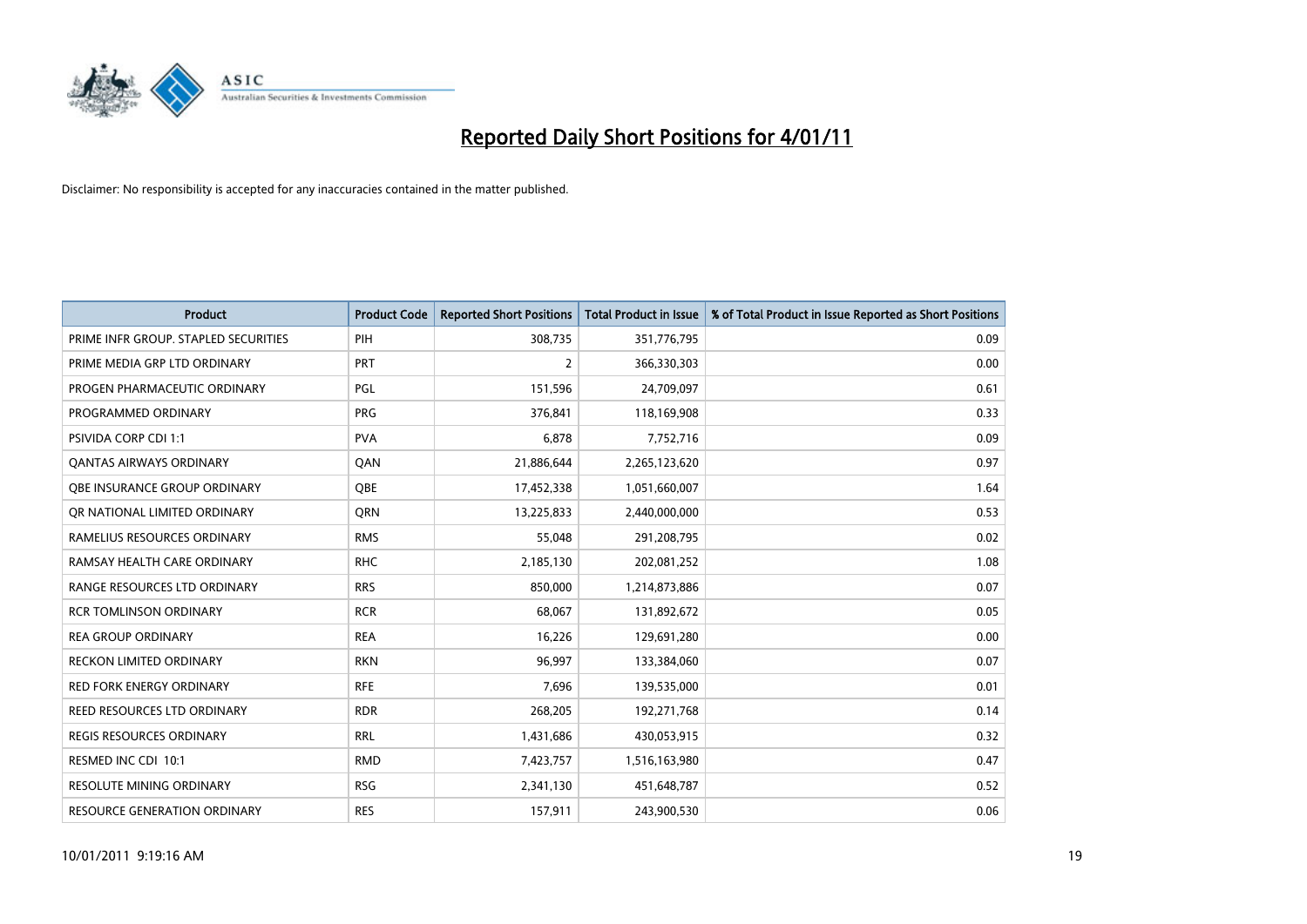

| Product                              | <b>Product Code</b> | <b>Reported Short Positions</b> | <b>Total Product in Issue</b> | % of Total Product in Issue Reported as Short Positions |
|--------------------------------------|---------------------|---------------------------------|-------------------------------|---------------------------------------------------------|
| PRIME INFR GROUP. STAPLED SECURITIES | PIH                 | 308,735                         | 351,776,795                   | 0.09                                                    |
| PRIME MEDIA GRP LTD ORDINARY         | <b>PRT</b>          | 2                               | 366,330,303                   | 0.00                                                    |
| PROGEN PHARMACEUTIC ORDINARY         | PGL                 | 151,596                         | 24,709,097                    | 0.61                                                    |
| PROGRAMMED ORDINARY                  | <b>PRG</b>          | 376,841                         | 118,169,908                   | 0.33                                                    |
| PSIVIDA CORP CDI 1:1                 | <b>PVA</b>          | 6,878                           | 7,752,716                     | 0.09                                                    |
| <b>QANTAS AIRWAYS ORDINARY</b>       | QAN                 | 21,886,644                      | 2,265,123,620                 | 0.97                                                    |
| OBE INSURANCE GROUP ORDINARY         | <b>OBE</b>          | 17,452,338                      | 1,051,660,007                 | 1.64                                                    |
| OR NATIONAL LIMITED ORDINARY         | <b>ORN</b>          | 13,225,833                      | 2,440,000,000                 | 0.53                                                    |
| RAMELIUS RESOURCES ORDINARY          | <b>RMS</b>          | 55,048                          | 291,208,795                   | 0.02                                                    |
| RAMSAY HEALTH CARE ORDINARY          | <b>RHC</b>          | 2,185,130                       | 202,081,252                   | 1.08                                                    |
| RANGE RESOURCES LTD ORDINARY         | <b>RRS</b>          | 850,000                         | 1,214,873,886                 | 0.07                                                    |
| <b>RCR TOMLINSON ORDINARY</b>        | <b>RCR</b>          | 68,067                          | 131,892,672                   | 0.05                                                    |
| <b>REA GROUP ORDINARY</b>            | <b>REA</b>          | 16,226                          | 129,691,280                   | 0.00                                                    |
| <b>RECKON LIMITED ORDINARY</b>       | <b>RKN</b>          | 96,997                          | 133,384,060                   | 0.07                                                    |
| <b>RED FORK ENERGY ORDINARY</b>      | <b>RFE</b>          | 7,696                           | 139,535,000                   | 0.01                                                    |
| REED RESOURCES LTD ORDINARY          | <b>RDR</b>          | 268,205                         | 192,271,768                   | 0.14                                                    |
| REGIS RESOURCES ORDINARY             | <b>RRL</b>          | 1,431,686                       | 430,053,915                   | 0.32                                                    |
| RESMED INC CDI 10:1                  | <b>RMD</b>          | 7,423,757                       | 1,516,163,980                 | 0.47                                                    |
| <b>RESOLUTE MINING ORDINARY</b>      | <b>RSG</b>          | 2,341,130                       | 451,648,787                   | 0.52                                                    |
| RESOURCE GENERATION ORDINARY         | <b>RES</b>          | 157,911                         | 243,900,530                   | 0.06                                                    |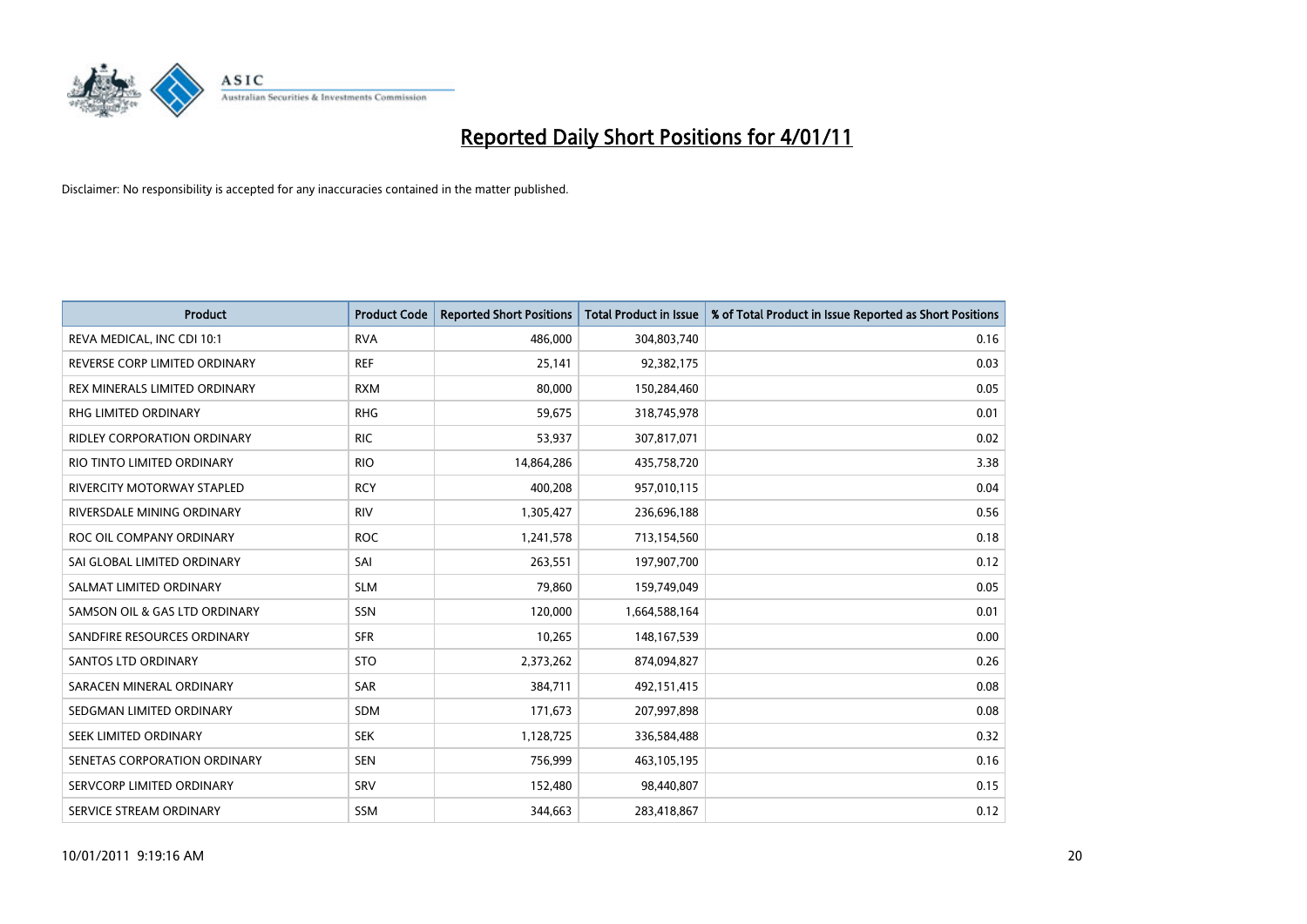

| Product                            | <b>Product Code</b> | <b>Reported Short Positions</b> | <b>Total Product in Issue</b> | % of Total Product in Issue Reported as Short Positions |
|------------------------------------|---------------------|---------------------------------|-------------------------------|---------------------------------------------------------|
| REVA MEDICAL, INC CDI 10:1         | <b>RVA</b>          | 486,000                         | 304,803,740                   | 0.16                                                    |
| REVERSE CORP LIMITED ORDINARY      | <b>REF</b>          | 25,141                          | 92,382,175                    | 0.03                                                    |
| REX MINERALS LIMITED ORDINARY      | <b>RXM</b>          | 80,000                          | 150,284,460                   | 0.05                                                    |
| RHG LIMITED ORDINARY               | <b>RHG</b>          | 59,675                          | 318,745,978                   | 0.01                                                    |
| <b>RIDLEY CORPORATION ORDINARY</b> | <b>RIC</b>          | 53,937                          | 307,817,071                   | 0.02                                                    |
| RIO TINTO LIMITED ORDINARY         | <b>RIO</b>          | 14,864,286                      | 435,758,720                   | 3.38                                                    |
| RIVERCITY MOTORWAY STAPLED         | <b>RCY</b>          | 400,208                         | 957,010,115                   | 0.04                                                    |
| RIVERSDALE MINING ORDINARY         | <b>RIV</b>          | 1,305,427                       | 236,696,188                   | 0.56                                                    |
| ROC OIL COMPANY ORDINARY           | <b>ROC</b>          | 1,241,578                       | 713,154,560                   | 0.18                                                    |
| SAI GLOBAL LIMITED ORDINARY        | SAI                 | 263,551                         | 197,907,700                   | 0.12                                                    |
| SALMAT LIMITED ORDINARY            | <b>SLM</b>          | 79,860                          | 159,749,049                   | 0.05                                                    |
| SAMSON OIL & GAS LTD ORDINARY      | SSN                 | 120,000                         | 1,664,588,164                 | 0.01                                                    |
| SANDFIRE RESOURCES ORDINARY        | <b>SFR</b>          | 10,265                          | 148, 167, 539                 | 0.00                                                    |
| SANTOS LTD ORDINARY                | <b>STO</b>          | 2,373,262                       | 874,094,827                   | 0.26                                                    |
| SARACEN MINERAL ORDINARY           | <b>SAR</b>          | 384,711                         | 492,151,415                   | 0.08                                                    |
| SEDGMAN LIMITED ORDINARY           | SDM                 | 171,673                         | 207,997,898                   | 0.08                                                    |
| SEEK LIMITED ORDINARY              | <b>SEK</b>          | 1,128,725                       | 336,584,488                   | 0.32                                                    |
| SENETAS CORPORATION ORDINARY       | <b>SEN</b>          | 756,999                         | 463,105,195                   | 0.16                                                    |
| SERVCORP LIMITED ORDINARY          | SRV                 | 152,480                         | 98,440,807                    | 0.15                                                    |
| SERVICE STREAM ORDINARY            | <b>SSM</b>          | 344,663                         | 283,418,867                   | 0.12                                                    |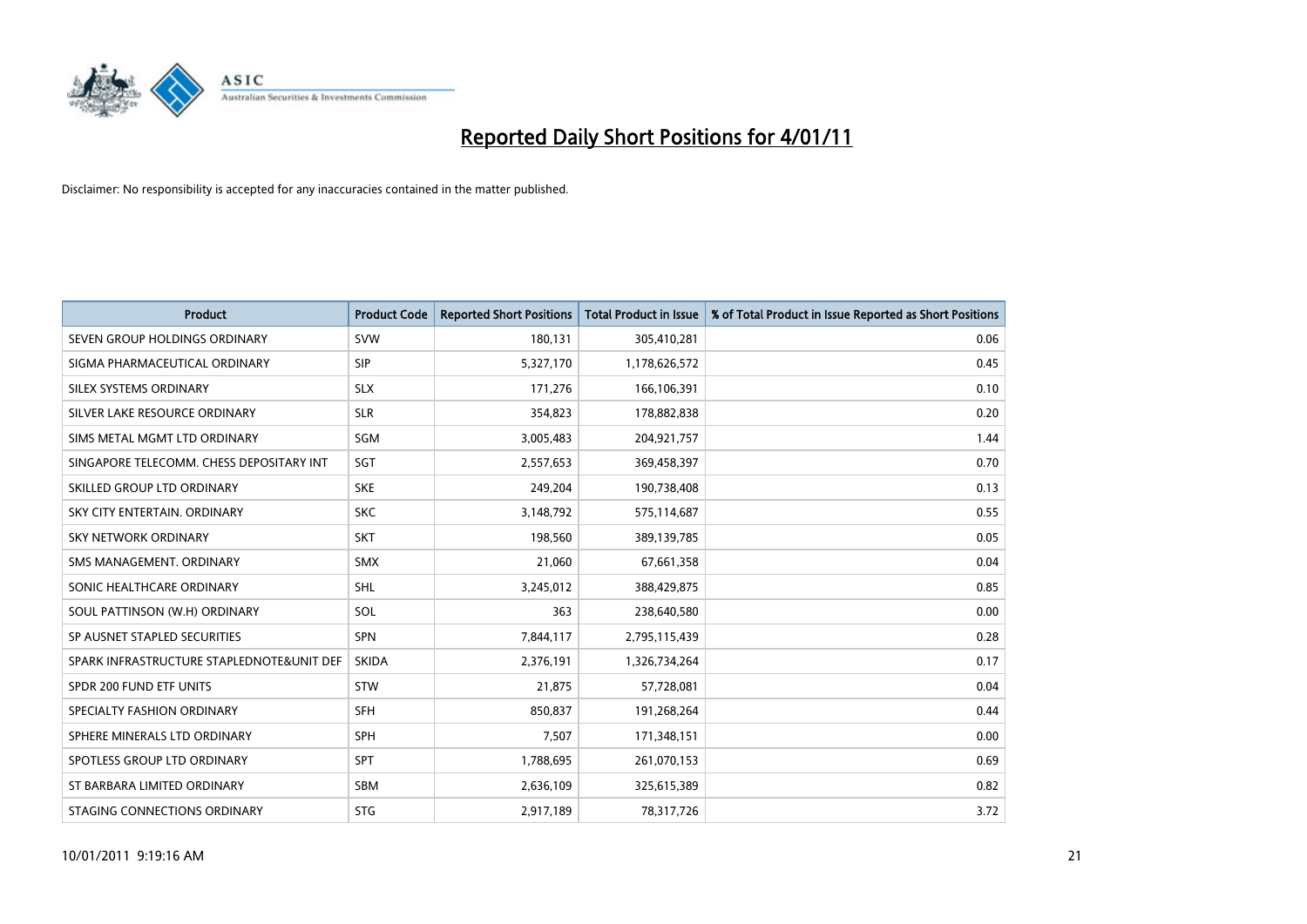

| <b>Product</b>                            | <b>Product Code</b> | <b>Reported Short Positions</b> | <b>Total Product in Issue</b> | % of Total Product in Issue Reported as Short Positions |
|-------------------------------------------|---------------------|---------------------------------|-------------------------------|---------------------------------------------------------|
| SEVEN GROUP HOLDINGS ORDINARY             | <b>SVW</b>          | 180,131                         | 305,410,281                   | 0.06                                                    |
| SIGMA PHARMACEUTICAL ORDINARY             | <b>SIP</b>          | 5,327,170                       | 1,178,626,572                 | 0.45                                                    |
| SILEX SYSTEMS ORDINARY                    | <b>SLX</b>          | 171,276                         | 166,106,391                   | 0.10                                                    |
| SILVER LAKE RESOURCE ORDINARY             | <b>SLR</b>          | 354,823                         | 178,882,838                   | 0.20                                                    |
| SIMS METAL MGMT LTD ORDINARY              | SGM                 | 3,005,483                       | 204,921,757                   | 1.44                                                    |
| SINGAPORE TELECOMM. CHESS DEPOSITARY INT  | SGT                 | 2,557,653                       | 369,458,397                   | 0.70                                                    |
| SKILLED GROUP LTD ORDINARY                | <b>SKE</b>          | 249,204                         | 190,738,408                   | 0.13                                                    |
| SKY CITY ENTERTAIN, ORDINARY              | <b>SKC</b>          | 3,148,792                       | 575,114,687                   | 0.55                                                    |
| <b>SKY NETWORK ORDINARY</b>               | <b>SKT</b>          | 198,560                         | 389,139,785                   | 0.05                                                    |
| SMS MANAGEMENT, ORDINARY                  | <b>SMX</b>          | 21,060                          | 67,661,358                    | 0.04                                                    |
| SONIC HEALTHCARE ORDINARY                 | <b>SHL</b>          | 3,245,012                       | 388,429,875                   | 0.85                                                    |
| SOUL PATTINSON (W.H) ORDINARY             | SOL                 | 363                             | 238,640,580                   | 0.00                                                    |
| SP AUSNET STAPLED SECURITIES              | <b>SPN</b>          | 7,844,117                       | 2,795,115,439                 | 0.28                                                    |
| SPARK INFRASTRUCTURE STAPLEDNOTE&UNIT DEF | <b>SKIDA</b>        | 2,376,191                       | 1,326,734,264                 | 0.17                                                    |
| SPDR 200 FUND ETF UNITS                   | <b>STW</b>          | 21,875                          | 57,728,081                    | 0.04                                                    |
| SPECIALTY FASHION ORDINARY                | <b>SFH</b>          | 850,837                         | 191,268,264                   | 0.44                                                    |
| SPHERE MINERALS LTD ORDINARY              | <b>SPH</b>          | 7,507                           | 171,348,151                   | 0.00                                                    |
| SPOTLESS GROUP LTD ORDINARY               | <b>SPT</b>          | 1,788,695                       | 261,070,153                   | 0.69                                                    |
| ST BARBARA LIMITED ORDINARY               | <b>SBM</b>          | 2,636,109                       | 325,615,389                   | 0.82                                                    |
| STAGING CONNECTIONS ORDINARY              | <b>STG</b>          | 2,917,189                       | 78,317,726                    | 3.72                                                    |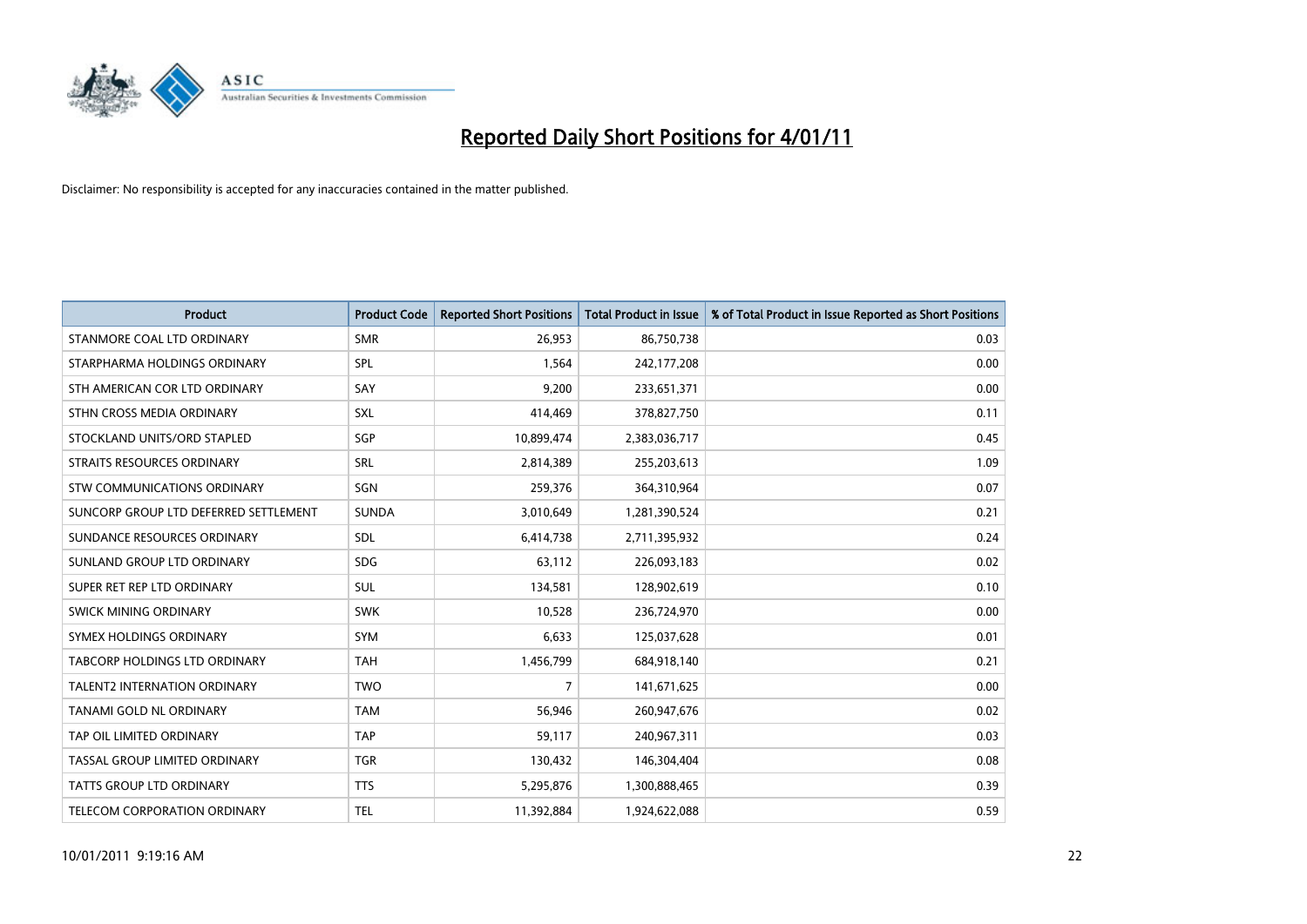

| <b>Product</b>                        | <b>Product Code</b> | <b>Reported Short Positions</b> | <b>Total Product in Issue</b> | % of Total Product in Issue Reported as Short Positions |
|---------------------------------------|---------------------|---------------------------------|-------------------------------|---------------------------------------------------------|
| STANMORE COAL LTD ORDINARY            | <b>SMR</b>          | 26,953                          | 86,750,738                    | 0.03                                                    |
| STARPHARMA HOLDINGS ORDINARY          | SPL                 | 1,564                           | 242,177,208                   | 0.00                                                    |
| STH AMERICAN COR LTD ORDINARY         | SAY                 | 9,200                           | 233,651,371                   | 0.00                                                    |
| STHN CROSS MEDIA ORDINARY             | <b>SXL</b>          | 414,469                         | 378,827,750                   | 0.11                                                    |
| STOCKLAND UNITS/ORD STAPLED           | SGP                 | 10,899,474                      | 2,383,036,717                 | 0.45                                                    |
| STRAITS RESOURCES ORDINARY            | <b>SRL</b>          | 2,814,389                       | 255,203,613                   | 1.09                                                    |
| STW COMMUNICATIONS ORDINARY           | SGN                 | 259,376                         | 364,310,964                   | 0.07                                                    |
| SUNCORP GROUP LTD DEFERRED SETTLEMENT | <b>SUNDA</b>        | 3,010,649                       | 1,281,390,524                 | 0.21                                                    |
| SUNDANCE RESOURCES ORDINARY           | <b>SDL</b>          | 6,414,738                       | 2,711,395,932                 | 0.24                                                    |
| SUNLAND GROUP LTD ORDINARY            | <b>SDG</b>          | 63,112                          | 226,093,183                   | 0.02                                                    |
| SUPER RET REP LTD ORDINARY            | <b>SUL</b>          | 134,581                         | 128,902,619                   | 0.10                                                    |
| SWICK MINING ORDINARY                 | <b>SWK</b>          | 10,528                          | 236,724,970                   | 0.00                                                    |
| SYMEX HOLDINGS ORDINARY               | SYM                 | 6,633                           | 125,037,628                   | 0.01                                                    |
| TABCORP HOLDINGS LTD ORDINARY         | <b>TAH</b>          | 1,456,799                       | 684,918,140                   | 0.21                                                    |
| <b>TALENT2 INTERNATION ORDINARY</b>   | <b>TWO</b>          | 7                               | 141,671,625                   | 0.00                                                    |
| TANAMI GOLD NL ORDINARY               | <b>TAM</b>          | 56,946                          | 260,947,676                   | 0.02                                                    |
| TAP OIL LIMITED ORDINARY              | <b>TAP</b>          | 59,117                          | 240,967,311                   | 0.03                                                    |
| TASSAL GROUP LIMITED ORDINARY         | <b>TGR</b>          | 130,432                         | 146,304,404                   | 0.08                                                    |
| <b>TATTS GROUP LTD ORDINARY</b>       | <b>TTS</b>          | 5,295,876                       | 1,300,888,465                 | 0.39                                                    |
| TELECOM CORPORATION ORDINARY          | TEL                 | 11,392,884                      | 1,924,622,088                 | 0.59                                                    |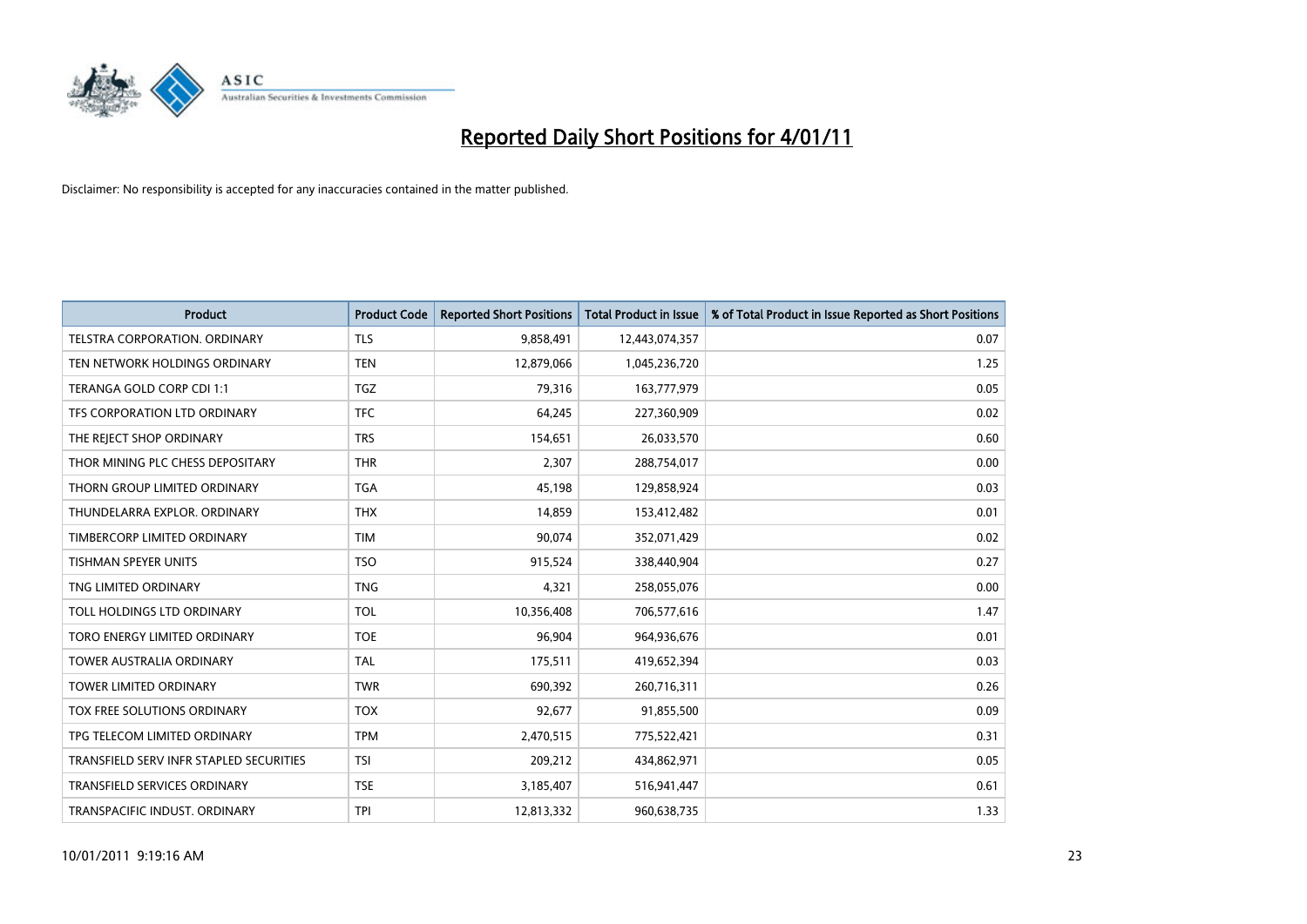

| <b>Product</b>                          | <b>Product Code</b> | <b>Reported Short Positions</b> | <b>Total Product in Issue</b> | % of Total Product in Issue Reported as Short Positions |
|-----------------------------------------|---------------------|---------------------------------|-------------------------------|---------------------------------------------------------|
| TELSTRA CORPORATION, ORDINARY           | <b>TLS</b>          | 9,858,491                       | 12,443,074,357                | 0.07                                                    |
| TEN NETWORK HOLDINGS ORDINARY           | <b>TEN</b>          | 12,879,066                      | 1,045,236,720                 | 1.25                                                    |
| TERANGA GOLD CORP CDI 1:1               | <b>TGZ</b>          | 79,316                          | 163,777,979                   | 0.05                                                    |
| TFS CORPORATION LTD ORDINARY            | <b>TFC</b>          | 64,245                          | 227,360,909                   | 0.02                                                    |
| THE REJECT SHOP ORDINARY                | <b>TRS</b>          | 154,651                         | 26,033,570                    | 0.60                                                    |
| THOR MINING PLC CHESS DEPOSITARY        | <b>THR</b>          | 2,307                           | 288,754,017                   | 0.00                                                    |
| THORN GROUP LIMITED ORDINARY            | <b>TGA</b>          | 45.198                          | 129,858,924                   | 0.03                                                    |
| THUNDELARRA EXPLOR. ORDINARY            | <b>THX</b>          | 14,859                          | 153,412,482                   | 0.01                                                    |
| TIMBERCORP LIMITED ORDINARY             | <b>TIM</b>          | 90,074                          | 352,071,429                   | 0.02                                                    |
| <b>TISHMAN SPEYER UNITS</b>             | <b>TSO</b>          | 915,524                         | 338,440,904                   | 0.27                                                    |
| TNG LIMITED ORDINARY                    | <b>TNG</b>          | 4,321                           | 258,055,076                   | 0.00                                                    |
| TOLL HOLDINGS LTD ORDINARY              | <b>TOL</b>          | 10,356,408                      | 706,577,616                   | 1.47                                                    |
| TORO ENERGY LIMITED ORDINARY            | <b>TOE</b>          | 96,904                          | 964,936,676                   | 0.01                                                    |
| <b>TOWER AUSTRALIA ORDINARY</b>         | <b>TAL</b>          | 175,511                         | 419,652,394                   | 0.03                                                    |
| TOWER LIMITED ORDINARY                  | <b>TWR</b>          | 690,392                         | 260,716,311                   | 0.26                                                    |
| TOX FREE SOLUTIONS ORDINARY             | <b>TOX</b>          | 92,677                          | 91,855,500                    | 0.09                                                    |
| TPG TELECOM LIMITED ORDINARY            | <b>TPM</b>          | 2,470,515                       | 775,522,421                   | 0.31                                                    |
| TRANSFIELD SERV INFR STAPLED SECURITIES | <b>TSI</b>          | 209,212                         | 434,862,971                   | 0.05                                                    |
| <b>TRANSFIELD SERVICES ORDINARY</b>     | <b>TSE</b>          | 3,185,407                       | 516,941,447                   | 0.61                                                    |
| TRANSPACIFIC INDUST. ORDINARY           | <b>TPI</b>          | 12,813,332                      | 960,638,735                   | 1.33                                                    |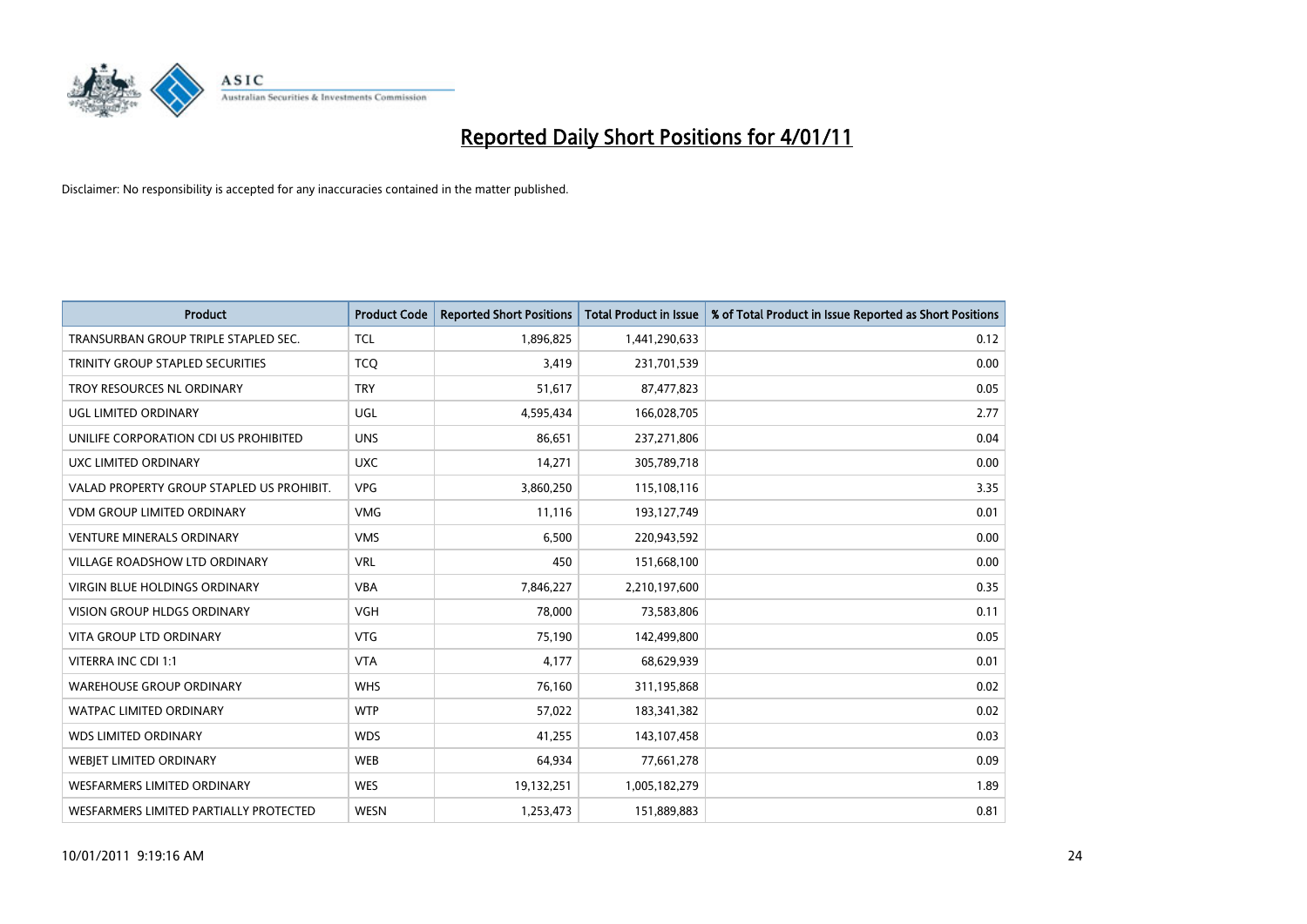

| <b>Product</b>                            | <b>Product Code</b> | <b>Reported Short Positions</b> | <b>Total Product in Issue</b> | % of Total Product in Issue Reported as Short Positions |
|-------------------------------------------|---------------------|---------------------------------|-------------------------------|---------------------------------------------------------|
| TRANSURBAN GROUP TRIPLE STAPLED SEC.      | <b>TCL</b>          | 1,896,825                       | 1,441,290,633                 | 0.12                                                    |
| TRINITY GROUP STAPLED SECURITIES          | <b>TCO</b>          | 3,419                           | 231,701,539                   | 0.00                                                    |
| TROY RESOURCES NL ORDINARY                | <b>TRY</b>          | 51,617                          | 87,477,823                    | 0.05                                                    |
| UGL LIMITED ORDINARY                      | <b>UGL</b>          | 4,595,434                       | 166,028,705                   | 2.77                                                    |
| UNILIFE CORPORATION CDI US PROHIBITED     | <b>UNS</b>          | 86,651                          | 237,271,806                   | 0.04                                                    |
| UXC LIMITED ORDINARY                      | <b>UXC</b>          | 14,271                          | 305,789,718                   | 0.00                                                    |
| VALAD PROPERTY GROUP STAPLED US PROHIBIT. | <b>VPG</b>          | 3,860,250                       | 115,108,116                   | 3.35                                                    |
| <b>VDM GROUP LIMITED ORDINARY</b>         | <b>VMG</b>          | 11,116                          | 193,127,749                   | 0.01                                                    |
| VENTURE MINERALS ORDINARY                 | <b>VMS</b>          | 6,500                           | 220,943,592                   | 0.00                                                    |
| VILLAGE ROADSHOW LTD ORDINARY             | <b>VRL</b>          | 450                             | 151,668,100                   | 0.00                                                    |
| <b>VIRGIN BLUE HOLDINGS ORDINARY</b>      | <b>VBA</b>          | 7,846,227                       | 2,210,197,600                 | 0.35                                                    |
| <b>VISION GROUP HLDGS ORDINARY</b>        | <b>VGH</b>          | 78,000                          | 73,583,806                    | 0.11                                                    |
| <b>VITA GROUP LTD ORDINARY</b>            | <b>VTG</b>          | 75,190                          | 142,499,800                   | 0.05                                                    |
| VITERRA INC CDI 1:1                       | <b>VTA</b>          | 4,177                           | 68,629,939                    | 0.01                                                    |
| <b>WAREHOUSE GROUP ORDINARY</b>           | <b>WHS</b>          | 76,160                          | 311,195,868                   | 0.02                                                    |
| <b>WATPAC LIMITED ORDINARY</b>            | <b>WTP</b>          | 57,022                          | 183,341,382                   | 0.02                                                    |
| <b>WDS LIMITED ORDINARY</b>               | <b>WDS</b>          | 41,255                          | 143,107,458                   | 0.03                                                    |
| WEBJET LIMITED ORDINARY                   | <b>WEB</b>          | 64,934                          | 77,661,278                    | 0.09                                                    |
| <b>WESFARMERS LIMITED ORDINARY</b>        | <b>WES</b>          | 19,132,251                      | 1,005,182,279                 | 1.89                                                    |
| WESFARMERS LIMITED PARTIALLY PROTECTED    | <b>WESN</b>         | 1,253,473                       | 151,889,883                   | 0.81                                                    |